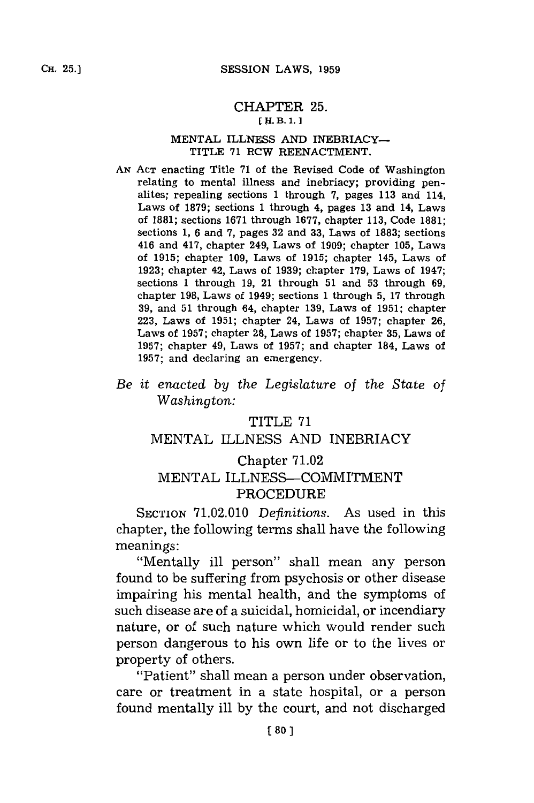#### CHAPTER **25. E** H. **B.1.]1**

#### **MENTAL** ILLNESS **AND** INEBRIACY-TITLE **71** ROW **REENACTMENT.**

- *AN* **ACT** enacting Title **71** of the Revised Code of Washington relating to mental illness and inebriacy; providing penalites; repealing sections **1** through **7,** pages **113** and 114, Laws of **1879;** sections **1** through 4, pages **13** and 14, Laws of **1881;** sections **1671** through **1677,** chapter **113,** Code **1881;** sections **1, 6** and **7,** pages **32** and **33,** Laws of **1883;** sections 416 and 417, chapter 249, Laws of **1909;** chapter **105,** Laws of **1915;** chapter **109,** Laws of **1915;** chapter 145, Laws of **1923;** chapter 42, Laws of **1939;** chapter **179,** Laws of 1947; sections **1** through **19,** 21 through **51** and **53** through **69,** chapter **198,** Laws of 1949; sections **1** through **5, 17** through **39,** and **51** through 64, chapter **139,** Laws of **1951;** chapter **223,** Laws of **1951;** chapter 24, Laws of **1957;** chapter **26,** Laws of **1957;** chapter **28,** Laws of **1957;** chapter **35,** Laws of **1957;** chapter 49, Laws of **1957;** and chapter 184, Laws of **1957;** and declaring an emergency.
- *Be it enacted by the Legislature of the State of Washington:*

### TITLE **71**

# **MENTAL** ILLNESS **AND** INEBRIACY

## Chapter **71.02 MENTAL** ILLNESS-COMMITMENT PROCEDURE

SECTION **71.02.010** *Definitions.* As used in this chapter, the following terms shall have the following meanings:

"Mentally ill person" shall mean any person found to be suffering from psychosis or other disease impairing his mental health, and the symptoms of such disease are of a suicidal, homicidal, or incendiary nature, or of such nature which would render such person dangerous to his own life or to the lives or property of others.

"Patient" shall mean a person under observation, care or treatment in a state hospital, or a person found mentally ill **by** the court, and not discharged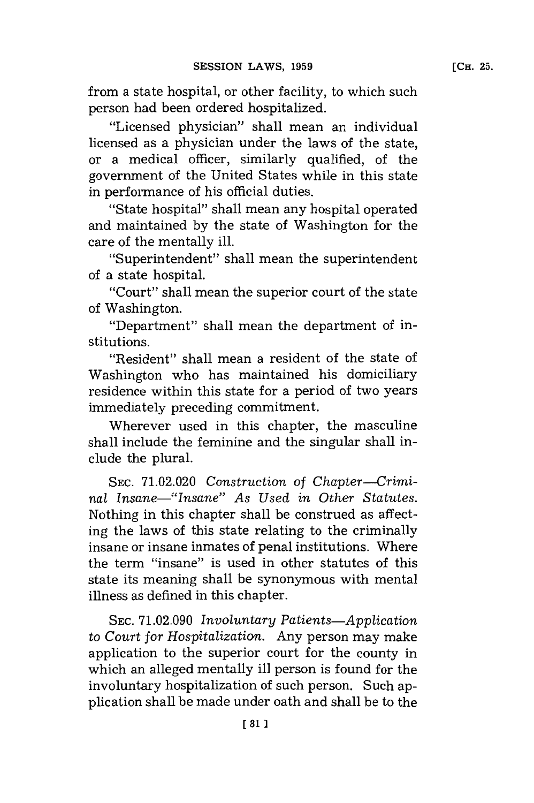from a state hospital, or other facility, to which such person had been ordered hospitalized.

"Licensed physician" shall mean an individual licensed as a physician under the laws of the state, or a medical officer, similarly qualified, of the government of the United States while in this state in performance of his official duties.

"State hospital" shall mean any hospital operated and maintained **by** the state of Washington for the care of the mentally ill.

"Superintendent" shall mean the superintendent of a state hospital.

"Court" shall mean the superior court of the state of Washington.

"Department" shall mean the department of institutions.

"Resident" shall mean a resident of the state of Washington who has maintained his domiciliary residence within this state for a period of two years immediately preceding commitment.

Wherever used in this chapter, the masculine shall include the feminine and the singular shall include the plural.

**SEC. 71.02.020** *Construction* of *Chapter--Criminai Insane-"Insane" As Used in Other Statutes.* Nothing in this chapter shall be construed as affecting the laws of this state relating to the criminally insane or insane inmates of penal institutions. Where the term "insane'' is used in other statutes of this state its meaning shall be synonymous with mental illness as defined in this chapter.

**SEC. 71.02.090** *Involuntary Patients-Application to Court for Hospitalization.* Any person may make application to the superior court for the county in which an alleged mentally ill person is found for the involuntary hospitalization of such person. Such application shall be made under oath and shall be to the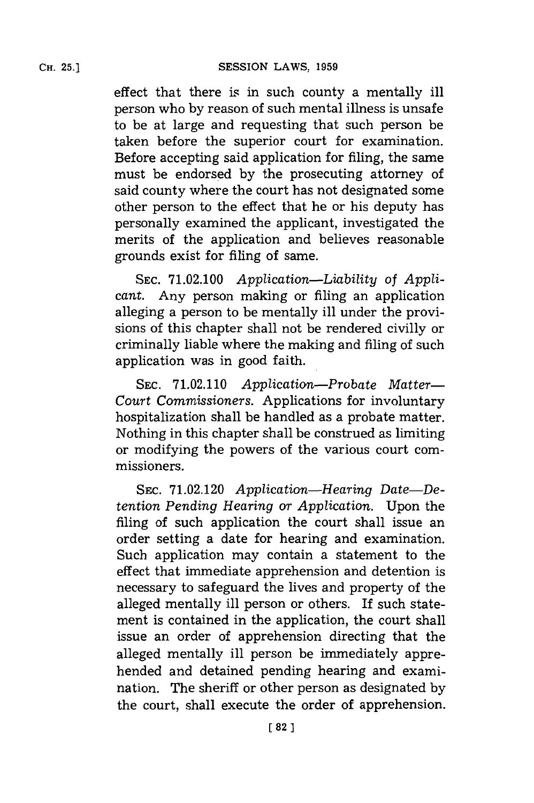effect that there is in such county a mentally ill person who **by** reason of such mental illness is unsafe to be at large and requesting that such person be taken before the superior court for examination. Before accepting said application for filing, the same must be endorsed **by** the prosecuting attorney of said county where the court has not designated some other person to the effect that he or his deputy has personally examined the applicant, investigated the merits of the application and believes reasonable grounds exist for filing of same.

**SEC. 71.02.100** *Application-Liability of Applicant.* Any person making or filing an application alleging a person to be mentally ill under the provisions of this chapter shall not be rendered civilly or criminally liable where the making and filing of such application was in good faith.

**SEC. 71.02.110** *Application-Probate Matter-Court Commissioners.* Applications for involuntary hospitalization shall be handled as a probate matter. Nothing in this chapter shall be construed as limiting or modifying the powers of the various court commissioners.

**SEC. 71.02.120** *Application-Hearing Date-Detention Pending Hearing or Application.* Upon the filing of such application the court shall issue an order setting a date for hearing and examination. Such application may contain a statement to the effect that immediate apprehension and detention is necessary to safeguard the lives and property of the alleged mentally ill person or others. If such statement is contained in the application, the court shall issue an order of apprehension directing that the alleged mentally ill person be immediately apprehended and detained pending hearing and examination. The sheriff or other person as designated **by** the court, shall execute the order of apprehension.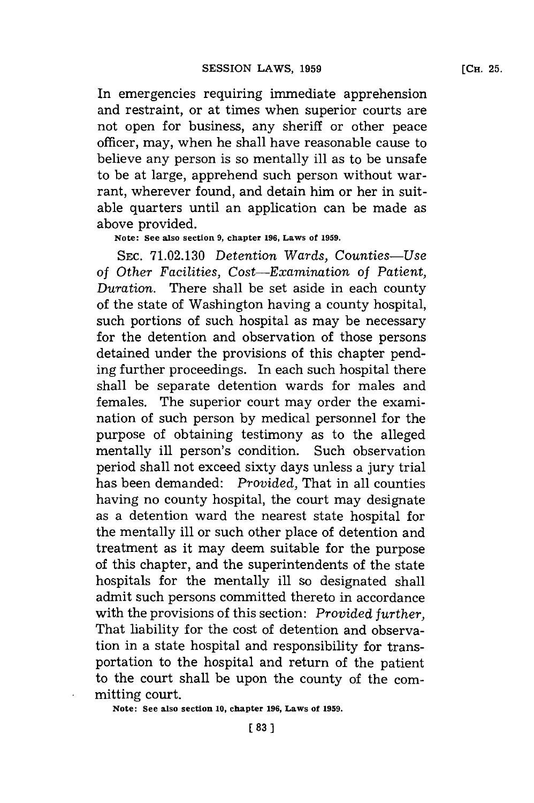In emergencies requiring immediate apprehension and restraint, or at times when superior courts are not open for business, any sheriff or other peace officer, may, when he shall have reasonable cause to believe any person is so mentally ill as to be unsafe to be at large, apprehend such person without warrant, wherever found, and detain him or her in suitable quarters until an application can be made as above provided.

#### **Note: See also section 9, chapter 196, Laws of 1959.**

SEC. **71.02.130** *Detention Wards, Counties-Use of Other Facilities, Cost-Examination of Patient, Duration.* There shall be set aside in each county of the state of Washington having a county hospital, such portions of such hospital as may be necessary for the detention and observation of those persons detained under the provisions of this chapter pending further proceedings. In each such hospital there shall be separate detention wards for males and females. The superior court may order the examination of such person **by** medical personnel for the purpose of obtaining testimony as to the alleged mentally ill person's condition. Such observation period shall not exceed sixty days unless a jury trial has been demanded: *Provided,* That in all counties having no county hospital, the court may designate as a detention ward the nearest state hospital for the mentally ill or such other place of detention and treatment as it may deem suitable for the purpose of this chapter, and the superintendents of the state hospitals for the mentally ill so designated shall admit such persons committed thereto in accordance with the provisions of this section: *Provided further,* That liability for the cost of detention and observation in a state hospital and responsibility for transportation to the hospital and return of the patient to the court shall be upon the county of the committing court.

**Note: See also section 10, chapter 196, Laws of 1959.**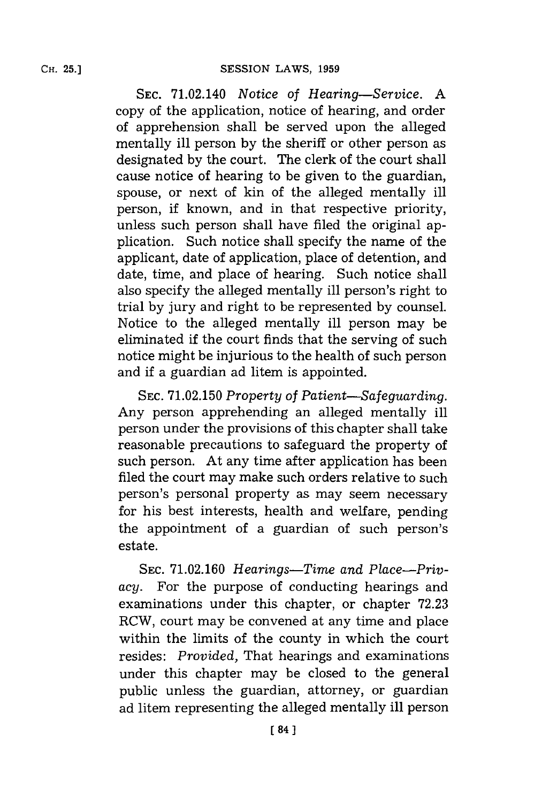SEC. 71.02.140 *Notice of Hearing-Service.* **A** copy of the application, notice of hearing, and order of apprehension shall be served upon the alleged mentally ill person **by** the sheriff or other person as designated **by** the court. The clerk of the court shall cause notice of hearing to be given to the guardian, spouse, or next of kin of the alleged mentally ill person, if known, and in that respective priority, unless such person shall have filed the original application. Such notice shall specify the name of the applicant, date of application, place of detention, and date, time, and place of hearing. Such notice shall also specify the alleged mentally ill person's right to trial **by** jury and right to be represented **by** counsel. Notice to the alleged mentally ill person **may** be eliminated if the court finds that the serving of such notice might be injurious to the health of such person and if a guardian ad litem is appointed.

SEC. **71.02.150** *Property of Patient-Safeguarding.* Any person apprehending an alleged mentally ill person under the provisions of this chapter shall take reasonable precautions to safeguard the property of such person. At any time after application has been filed the court may make such orders relative to such person's personal property as may seem necessary for his best interests, health and welfare, pending the appointment of a guardian of such person's estate.

SEC. 71.02.160 Hearings-Time and Place-Priv*acy.* For the purpose of conducting hearings and examinations under this chapter, or chapter **72.23** RCW, court may be convened at any time and place within the limits of the county in which the court resides: *Provided,* That hearings and examinations under this chapter may be closed to the general public unless the guardian, attorney, or guardian ad litem representing the alleged mentally ill person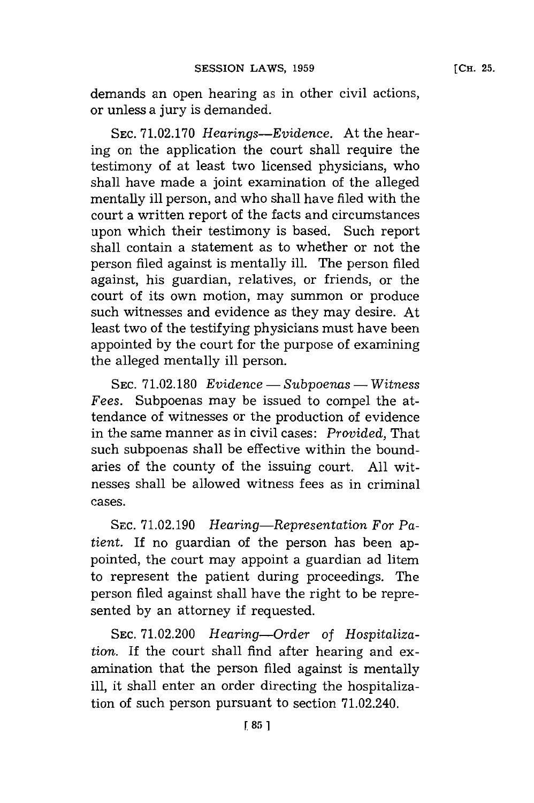demands an open hearing as in other civil actions, or unless a jury is demanded.

**SEC. 71.02.170** *Hearings-Evidence.* At the hearing on the application the court shall require the testimony of at least two licensed physicians, who shall have made a joint examination of the alleged mentally ill person, and who shall have filed with the court a written report of the facts and circumstances upon which their testimony is based. Such report shall contain a statement as to whether or not the person filed against is mentally ill. The person filed against, his guardian, relatives, or friends, or the court of its own motion, may summon or produce such witnesses and evidence as they may desire. At least two of the testifying physicians must have been appointed **by** the court for the purpose of examining the alleged mentally ill person.

**SEC. 71.02.180** *Evidence* **-** *Subpoenas* **-** Witness *Fees.* Subpoenas may be issued to compel the attendance of witnesses or the production of evidence in the same manner as in civil cases: *Provided,* That such subpoenas shall be effective within the boundaries of the county of the issuing court. **All** witnesses shall be allowed witness fees as in criminal cases.

SEC. 71.02.190 *Hearing—Representation For Patient.* **If** no guardian of the person has been appointed, the court may appoint a guardian ad litem to represent the patient during proceedings. The person filed against shall have the right to be represented **by** an attorney if requested.

**SEC. 71.02.200** *Hearing-Order of Hospitalization.* If the court shall find after hearing and examination that the person filed against is mentally ill, it shall enter an order directing the hospitalization of such person pursuant to section 71.02.240.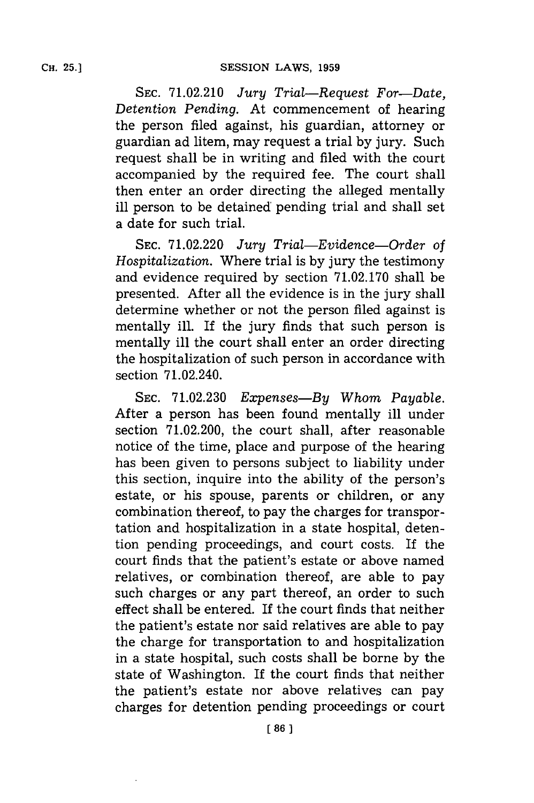**SEC. 71.02.210** *Jury Trial-Request For-Date, Detention Pending.* At commencement of hearing the person filed against, his guardian, attorney or guardian ad litem, may request a trial **by** jury. Such request shall be in writing and filed with the court accompanied **by** the required fee. The court shall then enter an order directing the alleged mentally ill person to be detained pending trial and shall set a date **for** such trial.

**SEC. 71.02.220** *Jury Trial-Evidence-Order of Hospitalization.* Where trial is **by** jury the testimony and evidence required **by** section **71.02.170** shall be presented. After all the evidence is in the jury shall determine whether or not the person filed against is mentally ill. If the jury finds that such person is mentally ill the court shall enter an order directing the hospitalization of such person in accordance with section 71.02.240.

**SEC. 71.02.230** *Expenses-By Whom Payable.* After a person has been found mentally ill under section **71.02.200,** the court shall, after reasonable notice of the time, place and purpose of the hearing has been given to persons subject to liability under this section, inquire into the ability of the person's estate, or his spouse, parents or children, or any combination thereof, to pay the charges for transportation and hospitalization in a state hospital, detention pending proceedings, and court costs. If the court finds that the patient's estate or above named relatives, or combination thereof, are able to pay such charges or any part thereof, an order to such effect shall be entered. If the court finds that neither the patient's estate nor said relatives are able to pay the charge for transportation to and hospitalization in a state hospital, such costs shall be borne **by** the state of Washington. If the court finds that neither the patient's estate nor above relatives can pay charges for detention pending proceedings or court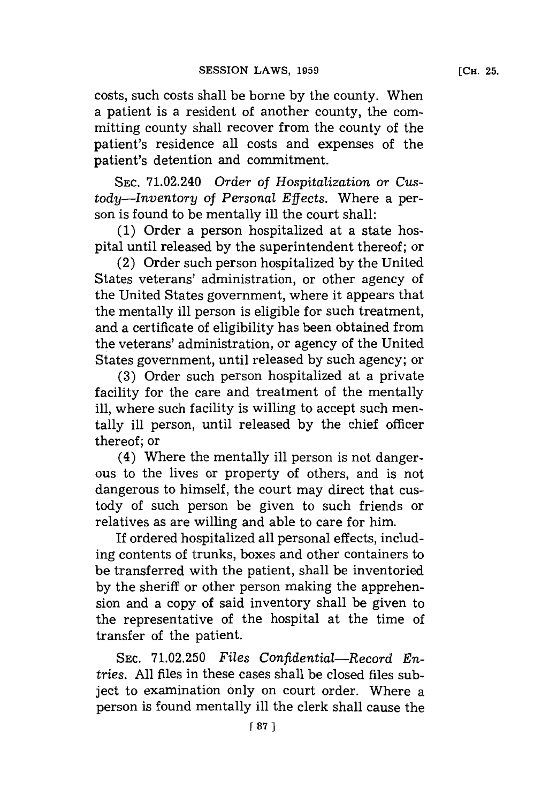costs, such costs shall be borne **by** the county. When a patient is a resident of another county, the committing county shall recover from the county of the patient's residence all costs and expenses of the patient's detention and commitment.

**SEC.** 71.02.240 *Order of Hospitalization or Custody-Inventory of Personal Effects.* Where a person is found to be mentally ill the court shall:

**(1)** Order a person hospitalized at a state hospital until released **by** the superintendent thereof; or

(2) Order such person hospitalized **by** the United States veterans' administration, or other agency of the United States government, where it appears that the mentally ill person is eligible for such treatment, and a certificate of eligibility has been obtained from the veterans' administration, or agency of the United States government, until released **by** such agency; or

**(3)** Order such person hospitalized at a private facility for the care and treatment of the mentally ill, where such facility is willing to accept such mentally ill person, until released **by** the chief officer thereof; or

(4) Where the mentally ill person is not dangerous to the lives or property of others, and is not dangerous to himself, the court may direct that custody of such person be given to such friends or relatives as are willing and able to care for him.

If ordered hospitalized all personal effects, including contents of trunks, boxes and other containers to be transferred with the patient, shall be inventoried **by** the sheriff or other person making the apprehension and a copy of said inventory shall be given to the representative of the hospital at the time of transfer of the patient.

**SEC. 71.02.250** *Files Confidential-Record Entries.* **All** files in these cases shall be closed files subject to examination only on court order. Where a person is found mentally ill the clerk shall cause the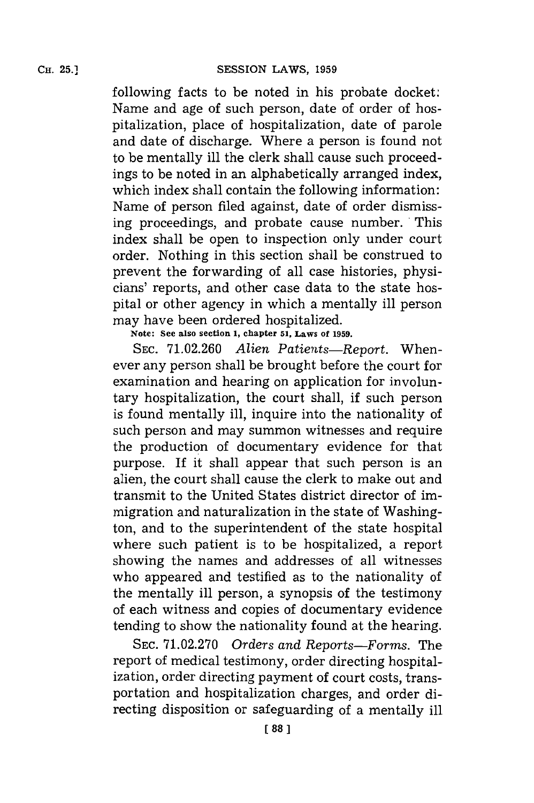following facts to be noted in his probate docket: Name and age of such person, date of order of hospitalization, place of hospitalization, date of parole and date of discharge. Where a person is found not to be mentally ill the clerk shall cause such proceedings to be noted in an alphabetically arranged index, which index shall contain the following information: Name of person filed against, date of order dismissing proceedings, and probate cause number. 'This index shall be open to inspection only under court order. Nothing in this section shall be construed to prevent the forwarding of all case histories, physicians' reports, and other case data to the state hospital or other agency in which a mentally ill person may have been ordered hospitalized.

**Note: See also section 1, chapter 51, Laws of 1959.**

**SEC. 71.02.260** *Alien Patients-Report.* Whenever any person shall be brought before the court for examination and hearing on application for involuntary hospitalization, the court shall, if such person is found mentally ill, inquire into the nationality of such person and may summon witnesses and require the production of documentary evidence for that purpose. **If** it shall appear that such person is an alien, the court shall cause the clerk to make out and transmit to the United States district director of immigration and naturalization in the state of Washington, and to the superintendent of the state hospital where such patient is to be hospitalized, a report showing the names and addresses of all witnesses who appeared and testified as to the nationality of the mentally ill person, a synopsis of the testimony of each witness and copies of documentary evidence tending to show the nationality found at the hearing.

**SEC. 71.02.270** *Orders and Reports-Forms.* The report of medical testimony, order directing hospitalization, order directing payment of court costs, transportation and hospitalization charges, and order directing disposition or safeguarding of a mentally ill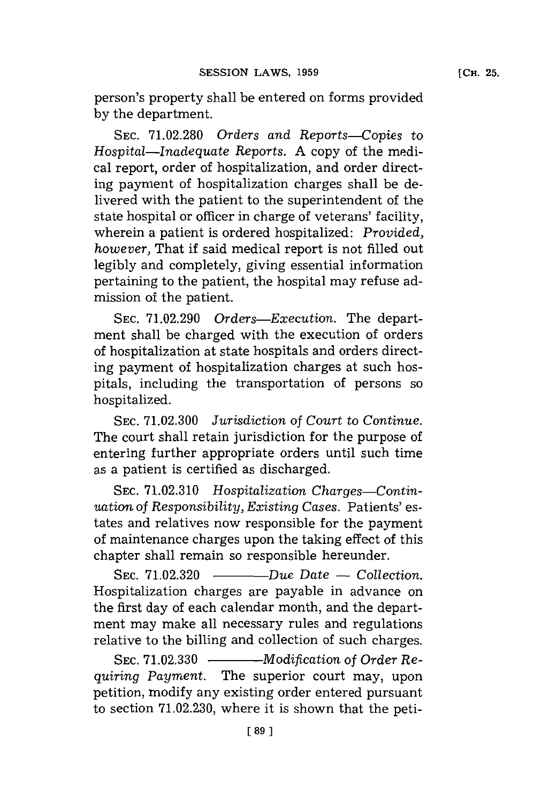person's property shall be entered on forms provided **by** the department.

**SEC. 71.02.280** *Orders and Reports-Copies to Hospital-Inadequate* Reports. **A** copy of the medical report, order of hospitalization, and order directing payment of hospitalization charges shall be delivered with the patient to the superintendent of the state hospital or officer in charge of veterans' facility, wherein a patient is ordered hospitalized: *Provided, however,* That if said medical report is not filled out legibly and completely, giving essential information pertaining to the patient, the hospital may refuse admission of the patient.

**SEC. 71.02.290** *Orders-Execution.* The department shall be charged with the execution of orders of hospitalization at state hospitals and orders directing payment of hospitalization charges at such hospitals, including the transportation of persons so hospitalized.

**SEC. 71.02.300** *Jurisdiction of Court to Continue.* The court shall retain jurisdiction **for** the purpose of entering further appropriate orders until such time as a patient is certified as discharged.

SEC. 71.02.310 Hospitalization Charges-Contin*uation of Responsibility, Existing Cases.* Patients' estates and relatives now responsible **for** the payment of maintenance charges upon the taking effect of this chapter shall remain so responsible hereunder.

**SEC. 71.02.320** - *Due Date* **-** *Collection.* Hospitalization charges are payable in advance on the first day of each calendar month, and the department may make all necessary rules and regulations relative to the billing and collection of such charges.

SEC. 71.02.330 - *Modification of Order Requiring Payment.* The superior court may, upon petition, modify any existing order entered pursuant to section **71.02.230,** where it is shown that the peti-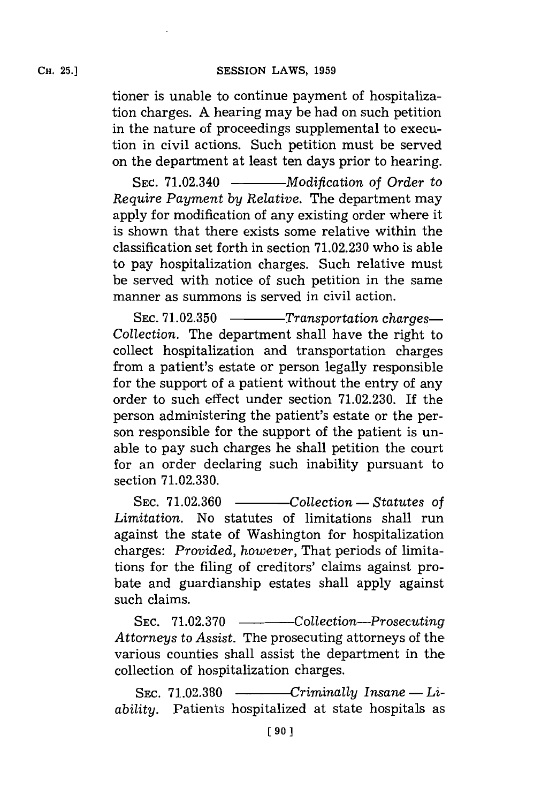tioner is unable to continue payment of hospitalization charges. **A** hearing may be had on such petition in the nature of proceedings supplemental to execution in civil actions. Such petition must be served on the department at least ten days prior to hearing.

SEC. 71.02.340 - *Modification of Order to Require Payment by Relative.* The department may apply for modification of any existing order where it is shown that there exists some relative within the classification set forth in section **71.02.230** who is able to pay hospitalization charges. Such relative must be served with notice of such petition in the same manner as summons is served in civil action.

SEC. 71.02.350 ----------Transportation charges-*Collection.* The department shall have the right to collect hospitalization and transportation charges from a patient's estate or person legally responsible for the support of a patient without the entry of any order to such effect under section **71.02.230.** If the person administering the patient's estate or the person responsible for the support of the patient is unable to pay such charges he shall petition the court for an order declaring such inability pursuant to section **71.02.330.**

**SEC. 71.02.360** - *Collection* **-** *Statutes of Limitation.* No statutes of limitations shall run against the state of Washington for hospitalization charges: *Provided, however,* That periods of limitations for the filing of creditors' claims against probate and guardianship estates shall apply against such claims.

SEC. 71.02.370 - *Collection-Prosecuting Attorneys to Assist.* The prosecuting attorneys of the various counties shall assist the department in the collection of hospitalization charges.

 $Sec. 71.02.380$   $---$  *Criminally Insane — Liability.* Patients hospitalized at state hospitals as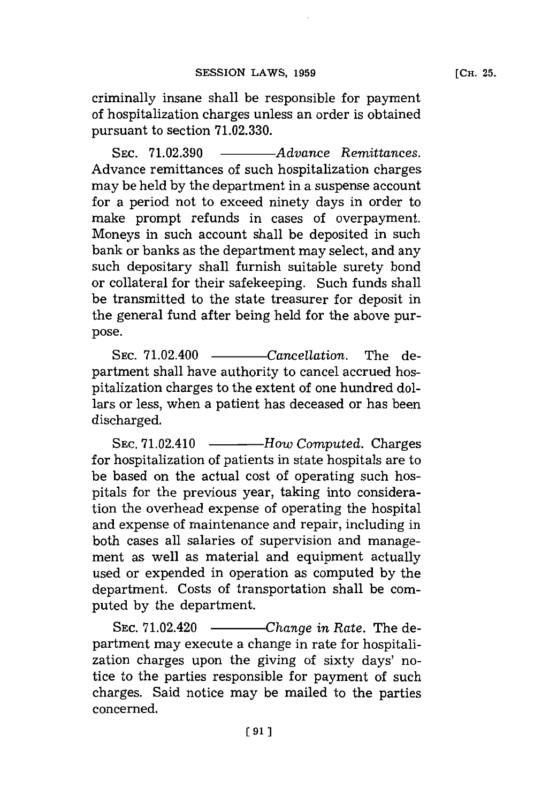criminally insane shall be responsible for payment of hospitalization charges unless an order is obtained pursuant to section **71.02.330.**

SEC. 71.02.390 - *Advance Remittances.* Advance remittances of such hospitalization charges may be held **by** the department in a suspense account for a period not to exceed ninety days in order to make prompt refunds in cases of overpayment. Moneys in such account shall be deposited in such bank or banks as the department may select, and any such depositary shall furnish suitable surety bond or collateral for their safekeeping. Such funds shall be transmitted to the state treasurer for deposit in the general fund after being held for the above purpose.

SEC. 71.02.400 -----------Cancellation. The department shall have authority to cancel accrued hospitalization charges to the extent of one hundred dollars or less, when a patient has deceased or has been discharged.

SEC. 71.02.410 --------------*How Computed.* Charges for hospitalization of patients in state hospitals are to be based on the actual cost of operating such hospitals for the previous year, taking into consideration the overhead expense of operating the hospital and expense of maintenance and repair, including in both cases all salaries of supervision and management as well as material and equipment actually used or expended in operation as computed **by** the department. Costs of transportation shall be computed **by** the department.

SEC. 71.02.420 - *Change in Rate.* The department may execute a change in rate **for** hospitalization charges upon the giving of sixty days' notice to the parties responsible for payment of such charges. Said notice may be mailed to the parties concerned.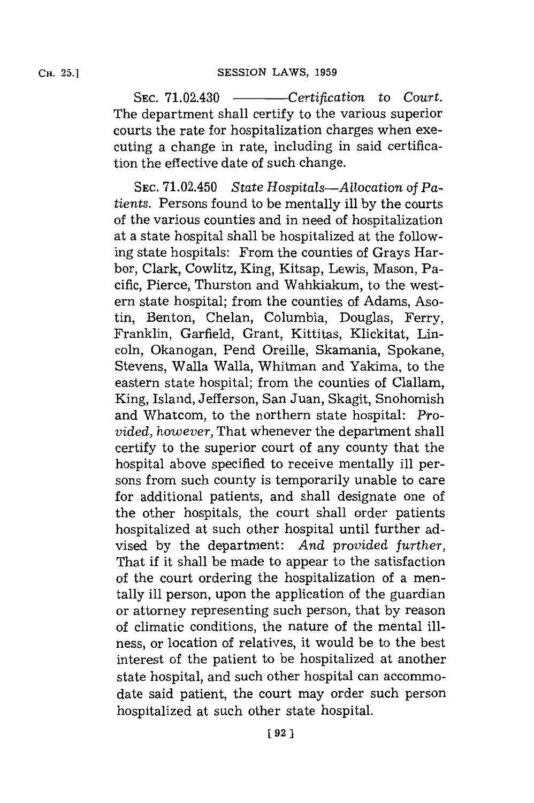SEC. 71.02.430 - *Certification* to *Court*. The department shall certify to the various superior courts the rate for hospitalization charges when executing a change in rate, including in said certification the effective date of such change.

**SEC.** 71.02.450 *State Hospitals-Allocation of Patients.* Persons found to be mentally ill **by** the courts of the various counties and in need of hospitalization at a state hospital shall be hospitalized at the following state hospitals: From the counties of Grays Harbor, Clark, Cowlitz, King, Kitsap, Lewis, Mason, Pacific, Pierce, Thurston and Wahkiakum, to the western state hospital; from the counties of Adams, Asotin, Benton, Chelan, Columbia, Douglas, Ferry, Franklin, Garfield, Grant, Kittitas, Klickitat, Lincoln, Okanogan, Pend Oreille, Skamania, Spokane, Stevens, Walla Walla, Whitman and Yakima, to the eastern state hospital; from the counties of Clallam, King, Island, Jefferson, San Juan, Skagit, Snohomish and Whatcom., to the northern state hospital: *Provided, however,* That whenever the department shall certify to the superior court of any county that the hospital above specified to receive mentally ill persons from such county is temporarily unable to care for additional patients, and shall designate one of the other hospitals, the court shall order patients hospitalized at such other hospital until further advised **by** the department: *And provided further,* That if it shall be made to appear to the satisfaction of the court ordering the hospitalization of a mentally ill person, upon the application of the guardian or attorney representing such person, that **by** reason of climatic conditions, the nature of the mental illness, or location of relatives, it would be to the best interest of the patient to be hospitalized at another state hospital, and such other hospital can accommodate said patient, the court may order such person hospitalized at such other state hospital.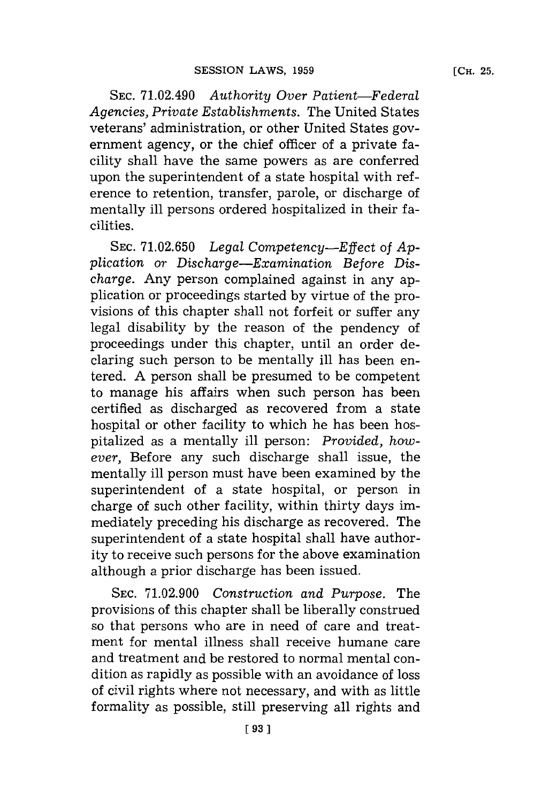**SEC.** 71.02.490 *Authority Over Patient-Federal Agencies, Private Establishments.* The United States veterans' administration, or other United States government agency, or the chief officer of a private facility shall have the same powers as are conferred upon the superintendent of a state hospital with ref  erence to retention, transfer, parole, or discharge of mentally ill persons ordered hospitalized in their facilities.

**SEC. 71.02.650** *Legal Competency-Effect of Application or Discharge-Examination Before Discharge.* Any person complained against in any application or proceedings started **by** virtue of the provisions of this chapter shall not forfeit or suffer any legal disability **by** the reason of the pendency of proceedings under this chapter, until an order declaring such person to be mentally ill has been entered. **A** person shall be presumed to be competent to manage his affairs when such person has been certified as discharged as recovered from a state hospital or other facility to which he has been hospitalized as a mentally ill person: *Provided, however,* Before any such discharge shall issue, the mentally ill person must have been examined **by** the superintendent of a state hospital, or person in charge of such other facility, within thirty days immediately preceding his discharge as recovered. The superintendent of a state hospital shall have authority to receive such persons **for** the above examination although a prior discharge has been issued.

**SEC. 71.02.900** *Construction and Purpose.* The provisions of this chapter shall be liberally construed so that persons who are in need of care and treatment for mental illness shall receive humane care and treatment and be restored to normal mental condition as rapidly as possible with an avoidance of loss of civil rights where not necessary, and with as little formality as possible, still preserving all rights and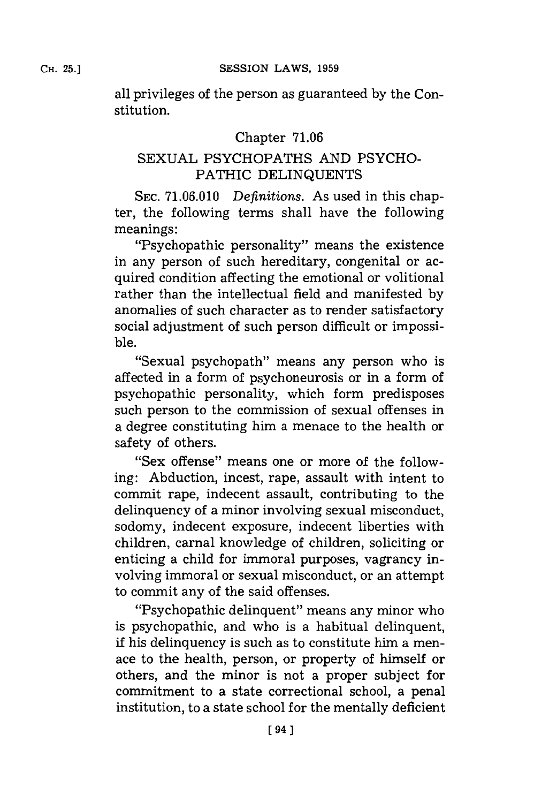all privileges of the person as guaranteed **by** the Constitution.

# Chapter **71.06**

# **SEXUAL** PSYCHOPATHS **AND** PSYCHO-PATHIC **DELINQUENTS**

**SEC. 71.06.010** *Definitions.* As used in this chapter, the following terms shall have the following meanings:

"Psychopathic personality" means the existence in any person of such hereditary, congenital or acquired condition affecting the emotional or volitional rather than the intellectual field and manifested **by** anomalies of such character as to render satisfactory social adjustment of such person difficult or impossible.

"Sexual psychopath" means any person who is affected in a form of psychoneurosis or in a form of psychopathic personality, which form predisposes such person to the commission of sexual offenses in a degree constituting him a menace to the health or safety of others.

"Sex offense" means one or more of the following: Abduction, incest, rape, assault with intent to commit rape, indecent assault, contributing to the delinquency of a minor involving sexual misconduct, sodomy, indecent exposure, indecent liberties with children, carnal knowledge of children, soliciting or enticing a child for immoral purposes, vagrancy involving immoral or sexual misconduct, or an attempt to commit any of the said offenses.

"Psychopathic delinquent" means any minor who is psychopathic, and who is a habitual delinquent, if his delinquency is such as to constitute him a menace to the health, person, or property of himself or others, and the minor is not a proper subject for commitment to a state correctional school, a penal institution, to a state school **for** the mentally deficient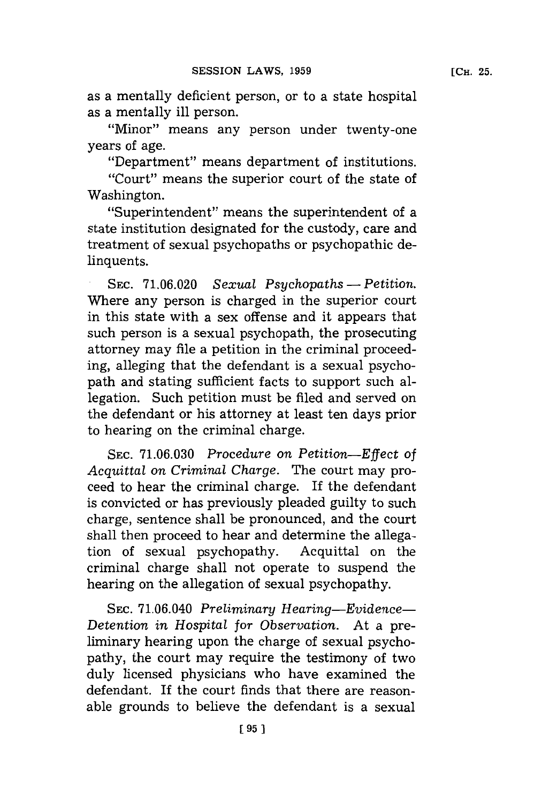as a mentally deficient person, or to a state hospital as a mentally ill person.

"Minor" means any person under twenty-one years of age.

"Department" means department of institutions.

"Court" means the superior court of the state of Washington.

"Superintendent" means the superintendent of a state institution designated **for** the custody, care and treatment of sexual psychopaths or psychopathic delinquents.

.SEC. **71.06.020** *Sexual Psychopaths* **-** *Petition.* Where any person is charged in the superior court in this state with a sex offense and it appears that such person is a sexual psychopath, the prosecuting attorney may file a petition in the criminal proceeding, alleging that the defendant is a sexual psychopath and stating sufficient facts to support such allegation. Such petition must be filed and served on the defendant or his attorney at least ten days prior to hearing on the criminal charge.

SEC. **71.06.030** *Procedure on Petition-Effect of Acquittal on Criminal Charge.* The court may proceed to hear the criminal charge. If the defendant is convicted or has previously pleaded guilty to such charge, sentence shall be pronounced, and the court shall then proceed to hear and determine the allegation of sexual psychopathy. Acquittal on the criminal charge shall not operate to suspend the hearing on the allegation of sexual psychopathy.

**SEC.** 71.06.040 *Preliminary Hearing-Evidence-Detention in Hospital for Observation.* At a preliminary hearing upon the charge of sexual psychopathy, the court may require the testimony of two duly licensed physicians who have examined the defendant. If the court finds that there are reasonable grounds to believe the defendant is a sexual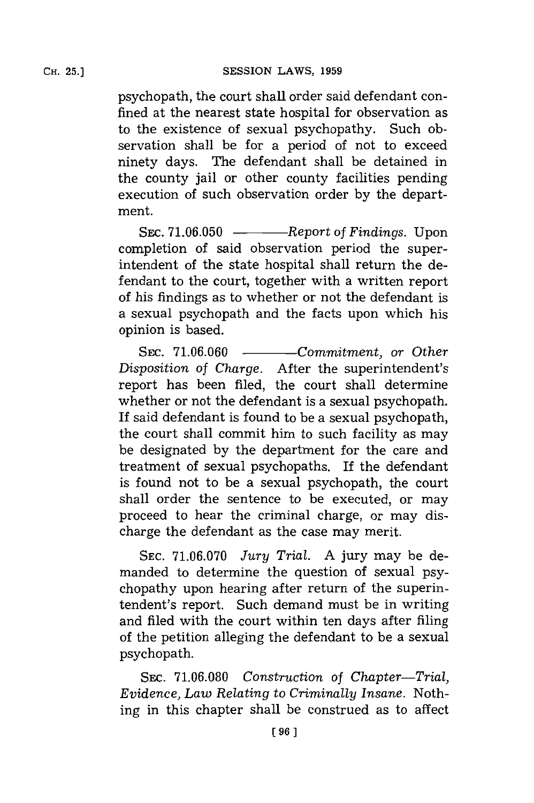psychopath, the court shall order said defendant confined at the nearest state hospital for observation as to the existence of sexual psychopathy. Such observation shall be for a period of not to exceed ninety days. The defendant shall be detained in the county jail or other county facilities pending execution of such observation order **by** the department.

SEC. 71.06.050 - *Report of Findings.* Upon completion of said observation period the superintendent of the state hospital shall return the defendant to the court, together with a written report of his findings as to whether or not the defendant is a sexual psychopath and the facts upon which his opinion is based.

SEC. 71.06.060 - *Commitment, or Other Disposition of Charge.* After the superintendent's report has been filed, the court shall determine whether or not the defendant is a sexual psychopath. If said defendant is found to be a sexual psychopath, the court shall commit him to such facility as may be designated **by** the department for the care and treatment of sexual psychopaths. If the defendant is found not to be a sexual psychopath, the court shall order the sentence to be executed, or may proceed to hear the criminal charge, or may discharge the defendant as the case may merit.

**SEC. 71.06.070** *Jury Trial.* **A** jury may be demanded to determine the question of sexual psychopathy upon hearing after return of the superintendent's report. Such demand must be in writing and filed with the court within ten days after filing of the petition alleging the defendant to be a sexual psychopath.

SEC. 71.06.080 Construction of Chapter-Trial, *Evidence, Law Relating to Criminally Insane.* Nothing in this chapter shall be construed as to affect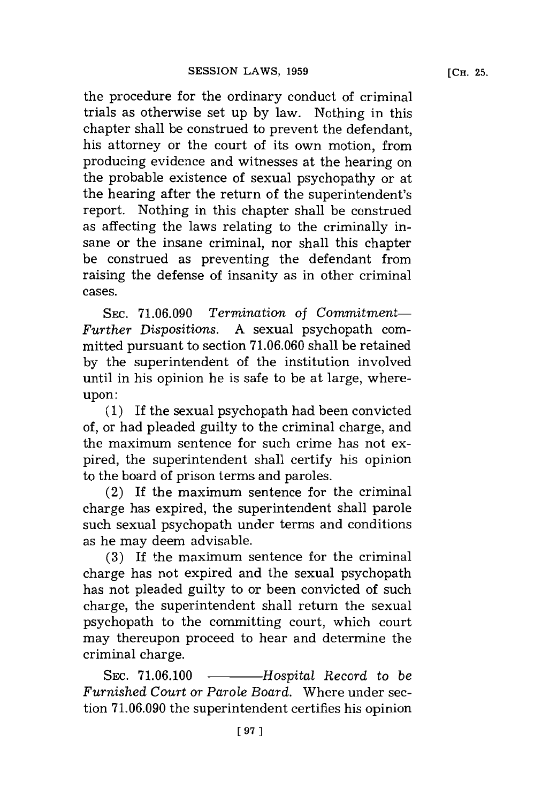the procedure for the ordinary conduct of criminal trials as otherwise set up **by** law. Nothing in this chapter shall be construed to prevent the defendant, his attorney or the court of its own motion, from producing evidence and witnesses at the hearing on the probable existence of sexual psychopathy or at the hearing after the return of the superintendent's report. Nothing in this chapter shall be construed as affecting the laws relating to the criminally insane or the insane criminal, nor shall this chapter be construed as preventing the defendant from raising the defense of insanity as in other criminal cases.

**SEC. 71.06.090** *Termination* of *Commitment-Further Dispositions.* **A** sexual psychopath committed pursuant to section **71.06.060** shall be retained **by** the superintendent of the institution involved until in his opinion he is safe to be at large, whereupon:

**(1)** If the sexual psychopath had been convicted of, or had pleaded guilty to the criminal charge, and the maximum sentence for such crime has not expired, the superintendent shall certify his opinion to the board of prison terms and paroles.

(2) If the maximum sentence for the criminal charge has expired, the superintendent shall parole such sexual psychopath under terms and conditions as he may deem advisable.

**(3)** If the maximum sentence for the criminal charge has not expired and the sexual psychopath has not pleaded guilty to or been convicted of such charge, the superintendent shall return the sexual psychopath to the committing court, which court may thereupon proceed to hear and determine the criminal charge.

SEC. 71.06.100 - *Hospital Record to be Furnished Court or Parole Board.* Where under section **71.06.090** the superintendent certifies his opinion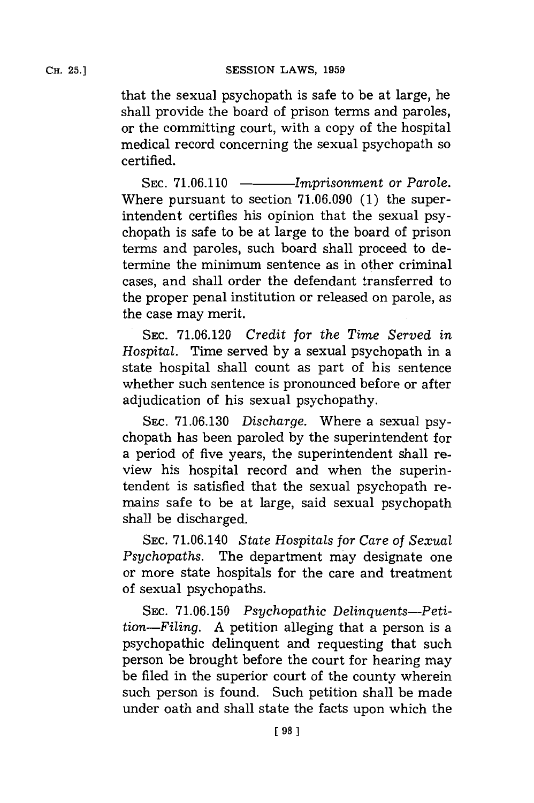that the sexual psychopath is safe to be at large, he shall provide the board of prison terms and paroles, or the committing court, with a copy of the hospital medical record concerning the sexual psychopath so certified.

SEC. 71.06.110 - *Imprisonment or Parole.* Where pursuant to section **71.06.090 (1)** the superintendent certifies his opinion that the sexual psychopath is safe to be at large to the board of prison terms and paroles, such board shall proceed to determine the minimum sentence as in other criminal cases, and shall order the defendant transferred to the proper penal institution or released on parole, as the case may merit.

**SEC. 71.06.120** *Credit for the Time Served in Hospital.* Time served **by** a sexual psychopath in a state hospital shall count as part of his sentence whether such sentence is pronounced before or after adjudication of his sexual psychopathy.

**SEC. 71.06.130** *Discharge.* Where a sexual psychopath has been paroled **by** the superintendent for a period of five years, the superintendent shall review his hospital record and when the superintendent is satisfied that the sexual psychopath remains safe to be at large, said sexual psychopath shall be discharged.

**SEC.** 71.06.140 *State Hospitals for Care of Sexual Psychopaths.* The department may designate one or more state hospitals for the care and treatment of sexual psychopaths.

SEC. 71.06.150 Psychopathic Delinquents-Peti*tion-Filing.* **A** petition alleging that a person is a psychopathic delinquent and requesting that such person be brought before the court for hearing may be filed in the superior court of the county wherein such person is found. Such petition shall be made under oath and shall state the facts upon which the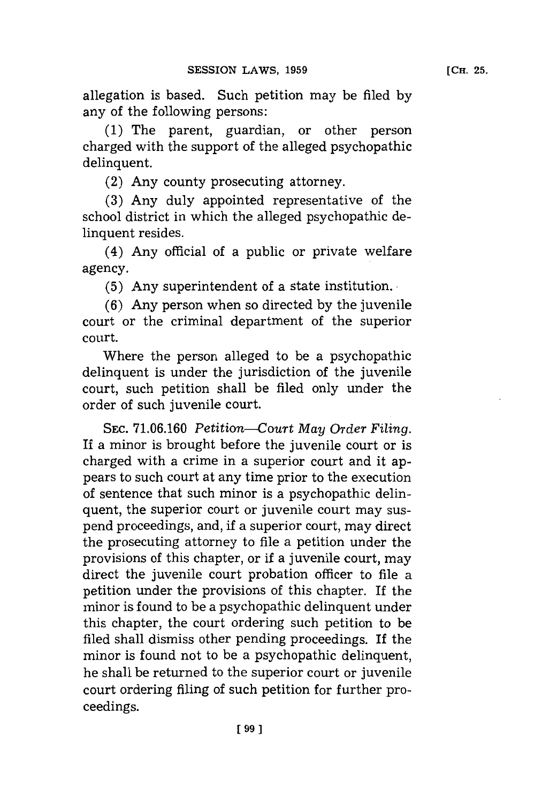allegation is based. Such petition may be filed **by** any of the following persons:

**(1)** The parent, guardian, or other person charged with the support of the alleged psychopathic delinquent.

(2) Any county prosecuting attorney.

**(3)** Any duly appointed representative of the school district in which the alleged psychopathic delinquent resides.

(4) Any official of a public or private welfare agency.

**(5)** Any superintendent of a state institution.

**(6)** Any person when so directed **by** the juvenile court or the criminal department of the superior court.

Where the person alleged to be a psychopathic delinquent is under the jurisdiction of the juvenile court, such petition shall be filed only under the order of such juvenile court.

**SEC. 71.06.160** *Petition--Court May Order Filing.* If a minor is brought before the juvenile court or is charged with a crime in a superior court and it appears to such court at any time prior to the execution of sentence that such minor is a psychopathic delinquent, the superior court or juvenile court may suspend proceedings, and, **if** a superior court, may direct the prosecuting attorney to file a petition under the provisions of this chapter, or if a juvenile court, may direct the juvenile court probation officer to file a petition under the provisions of this chapter. If the minor is found to be a psychopathic delinquent under this chapter, the court ordering such petition to be filed shall dismiss other pending proceedings. If the minor is found not to be a psychopathic delinquent, he shall be returned to the superior court or juvenile court ordering filing of such petition for further proceedings.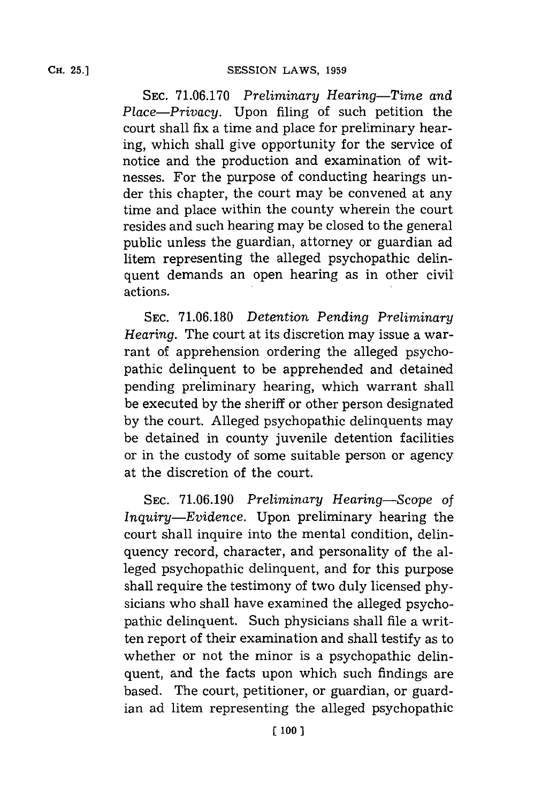**SEC. 71.06.170** *Preliminary Hearing-Time and Place-Privacy.* Upon filing of such petition the court shall fix a time and place for preliminary hearing, which shall give opportunity for the service of notice and the production and examination of witnesses. For the purpose of conducting hearings under this chapter, the court may be convened at any time and place within the county wherein the court resides and such hearing may be closed to the general public unless the guardian, attorney or guardian ad litem representing the alleged psychopathic delinquent demands an open hearing as in other civil actions.

**SEC. 71.06.180** *Detention Pending Preliminary Hearing.* The court at its discretion may issue a warrant of apprehension ordering the alleged psychopathic delinquent to be apprehended and detained pending preliminary hearing, which warrant shall be executed **by** the sheriff or other person designated **by** the court. Alleged psychopathic delinquents may be detained in county juvenile detention facilities or in the custody of some suitable person or agency at the discretion of the court.

**SEC. 71.06.190** *Preliminary Hearing-Scope* of *Inquiry-Evidence.* Upon preliminary hearing the court shall inquire into the mental condition, delinquency record, character, and personality of the alleged psychopathic delinquent, and for this purpose shall require the testimony of two duly licensed **phy**sicians who shall have examined the alleged psychopathic delinquent. Such physicians shall file a written report of their examination and shall testify as to whether or not the minor is a psychopathic delinquent, and the facts upon which such findings are based. The court, petitioner, or guardian, or guardian ad litem representing the alleged psychopathic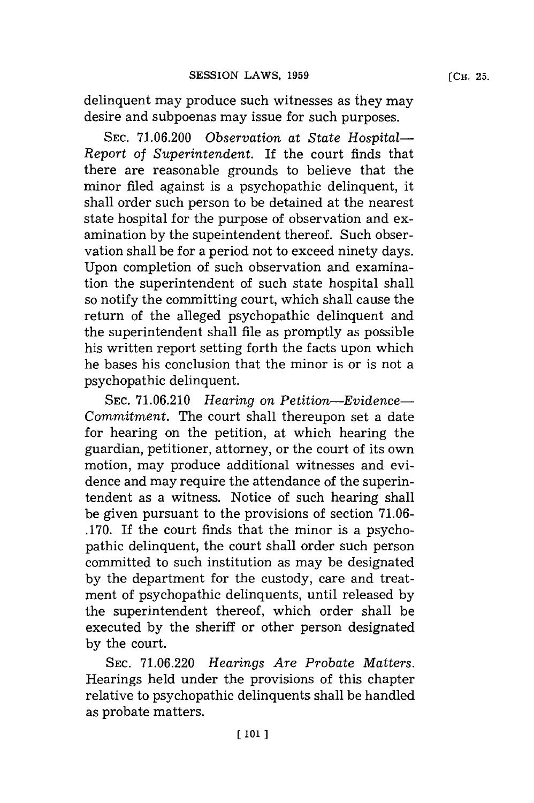**[CH. 25.**

delinquent may produce such witnesses as they may desire and subpoenas may issue for such purposes.

**SEC. 71.06.200** *Observation at State Hospital-Re port* of *Superintendent.* If the court finds that there are reasonable grounds to believe that the minor filed against is a psychopathic delinquent, it shall order such person to be detained at the nearest state hospital for the purpose of observation and examination **by** the supeintendent thereof. Such observation shall be for a period not to exceed ninety days. Upon completion of such observation and examination the superintendent of such state hospital shall so notify the committing court, which shall cause the return of the alleged psychopathic delinquent and the superintendent shall file as promptly as possible his written report setting forth the facts upon which he bases his conclusion that the minor is or is not a psychopathic delinquent.

**SEC. 71.06.210** *Hearing on Petition-Evidence-Commitment.* The court shall thereupon set a date for hearing on the petition, at which hearing the guardian, petitioner, attorney, or the court of its own motion, may produce additional witnesses and evidence and may require the attendance of the superintendent as a witness. Notice of such hearing shall be given pursuant to the provisions of section **7 1.06- .170.** If the court finds that the minor is a psychopathic delinquent, the court shall order such person committed to such institution as may be designated **by** the department for the custody, care and treatment of psychopathic delinquents, until released **by** the superintendent thereof, which order shall be executed **by** the sheriff or other person designated **by** the court.

**SEC. 71.06.220** *Hearings Are Probate Matters.* Hearings held under the provisions of this chapter relative to psychopathic delinquents shall be handled as probate matters.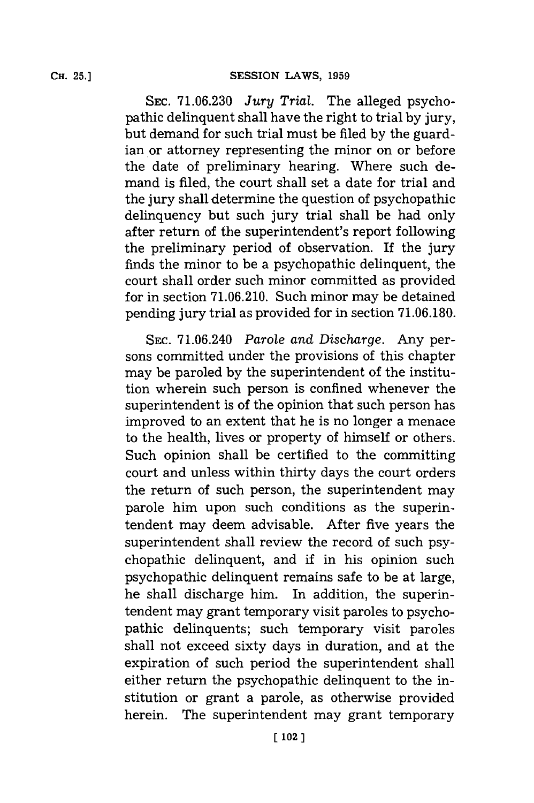**SEc. 71.06.230** *Jury Trial.* The alleged psychopathic delinquent shall have the right to trial **by** jury, but demand for such trial must be filed **by** the guardian or attorney representing the minor on or before the date of preliminary hearing. Where such demand is filed, the court shall set a date **for** trial and the jury shall determine the question of psychopathic delinquency but such jury trial shall be had only after return of the superintendent's report following the preliminary period of observation. If the jury finds the minor to be a psychopathic delinquent, the court shall order such minor committed as provided for in section **71.06.210.** Such minor may be detained pending jury trial as provided for in section 71.06.180.

**SEC.** 71.06.240 *Parole and Discharge.* Any persons committed under the provisions of this chapter may be paroled **by** the superintendent of the institution wherein such person is confined whenever the superintendent is of the opinion that such person has improved to an extent that he is no longer a menace to the health, lives or property of himself or others. Such opinion shall be certified to the committing court and unless within thirty days the court orders the return of such person, the superintendent may parole him upon such conditions as the superintendent may deem advisable. After five years the superintendent shall review the record of such psychopathic delinquent, and if in his opinion such psychopathic delinquent remains safe to be at large, he shall discharge him. In addition, the superintendent may grant temporary visit paroles to psychopathic delinquents; such temporary visit paroles shall not exceed sixty days in duration, and at the expiration of such period the superintendent shall either return the psychopathic delinquent to the institution or grant a parole, as otherwise provided herein. The superintendent may grant temporary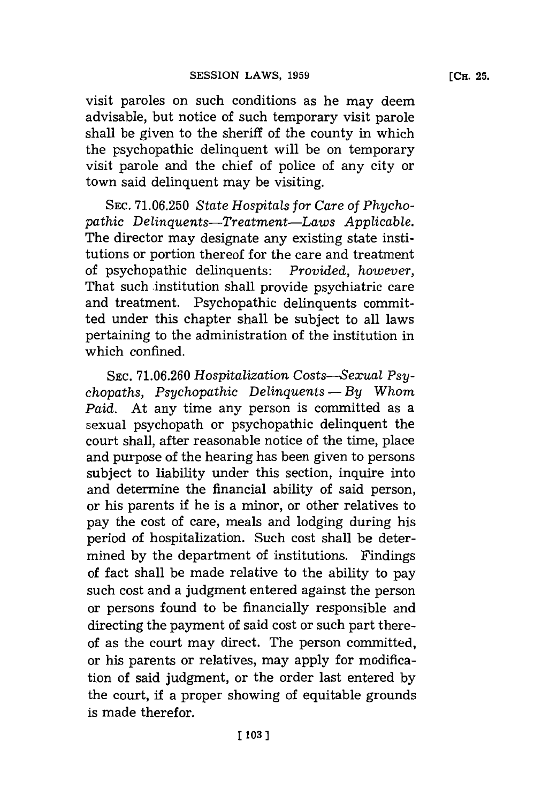visit paroles on such conditions as he may deem advisable, but notice of such temporary visit parole shall be given to the sheriff of the county in which the psychopathic delinquent will be on temporary visit parole and the chief of police of any city or town said delinquent may be visiting.

**SEC. 71.06.250** *State Hospitals for Care of Phychopathic Delinquents-Treatment-Laws Applicable.* The director may designate any existing state institutions or portion thereof for the care and treatment of psychopathic delinquents: *Provided, however,* That such institution shall provide psychiatric care and treatment. Psychopathic delinquents committed under this chapter shall be subject to all laws pertaining to the administration of the institution in which confined.

**SEC. 71.06.260** *Hospitalization Costs-Sexual Psychopaths, Psychopathic Delinquents* - By Whom *Paid.* At any time any person is committed as a sexual psychopath or psychopathic delinquent the court shall, after reasonable notice of the time, place and purpose of the hearing has been given to persons subject to liability under this section, inquire into and determine the financial ability of said person, or his parents if he is a minor, or other relatives to pay the cost of care, meals and lodging during his period of hospitalization. Such cost shall be determined **by** the department of institutions. Findings of fact shall be made relative to the ability to pay such cost and a judgment entered against the person or persons found to be financially responsible and directing the payment of said cost or such part thereof as the court may direct. The person committed, or his parents or relatives, may apply for modification of said judgment, or the order last entered **by** the court, if a proper showing of equitable grounds is made therefor.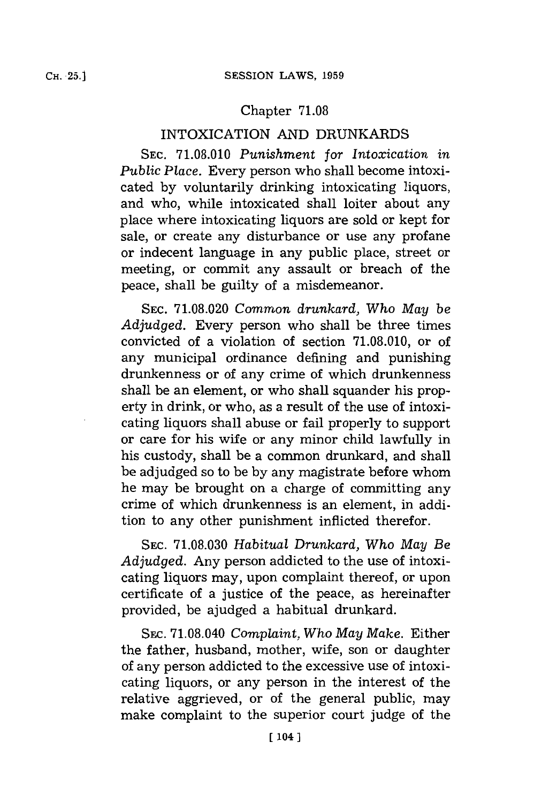## Chapter **71.08**

# INTOXICATION **AND** DRUNKARDS

**SEC. 71.08.010** *Punishment for Intoxication in Public Place.* Every person who shall become intoxicated **by** voluntarily drinking intoxicating liquors, and who, while intoxicated shall loiter about any place where intoxicating liquors are sold or kept for sale, or create any disturbance or use any profane or indecent language in any public place, street or meeting, or commit any assault or breach of the peace, shall be guilty of a misdemeanor.

**SEC. 71.08.020** *Common drunkard, Who May be Adjudged.* Every person who shall be three times convicted of a violation of section **71.08.010,** or of any municipal ordinance defining and punishing drunkenness or of any crime of which drunkenness shall be an element, or who shall squander his property in drink, or who, as a result of the use of intoxicating liquors shall abuse or fail properly to support or care for his wife or any minor child lawfully in his custody, shall be a common drunkard, and shall be adjudged so to be **by** any magistrate before whom he may be brought on a charge of committing any crime of which drunkenness is an element, in addition to any other punishment inflicted therefor.

**SEC. 71.08.030** *Habitual Drunkard, Who May Be Adjudged.* Any person addicted to the use of intoxicating liquors may, upon complaint thereof, or upon certificate of a justice of the peace, as hereinafter provided, be ajudged a habitual drunkard.

SEC. **71.08.040** *Complaint, Who May Make.* Either the father, husband, mother, wife, son or daughter of any person addicted to the excessive use of intoxicating liquors, or any person in the interest of the relative aggrieved, or of the general public, may make complaint to the superior court judge of the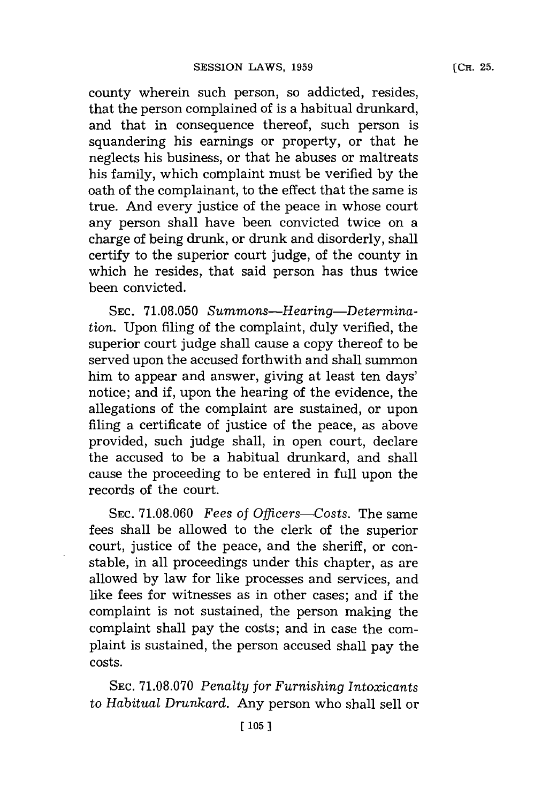county wherein such person, so addicted, resides, that the person complained of is a habitual drunkard, and that in consequence thereof, such person is squandering his earnings or property, or that he neglects his business, or that he abuses or maltreats his family, which complaint must be verified **by** the oath of the complainant, to the effect that the same is true. And every justice of the peace in whose court any person shall have been convicted twice on a charge of being drunk, or drunk and disorderly, shall certify to the superior court judge, of the county in which he resides, that said person has thus twice been convicted.

**SEC. 71.08.050** *Summons-Hearing-Determination.* Upon filing of the complaint, duly verified, the superior court judge shall cause a copy thereof to be served upon the accused forthwith and shall summon him to appear and answer, giving at least ten days' notice; and if, upon the hearing of the evidence, the allegations of the complaint are sustained, or upon filing a certificate of justice of the peace, as above provided, such judge shall, in open court, declare the accused to be a habitual drunkard, and shall cause the proceeding to be entered in full upon the records of the court.

**SEC. 71.08.060** *Fees of Oflcers--Costs.* The same fees shall be allowed to the clerk of the superior court, justice of the peace, and the sheriff, or constable, in all proceedings under this chapter, as are allowed **by** law for like processes and services, and like fees for witnesses as in other cases; and if the complaint is not sustained, the person making the complaint shall pay the costs; and in case the complaint is sustained, the person accused shall pay the costs.

**SEC. 71.08.070** *Penalty for Furnishing Intoxicants* to *Habitual Drunkard.* Any person who shall sell or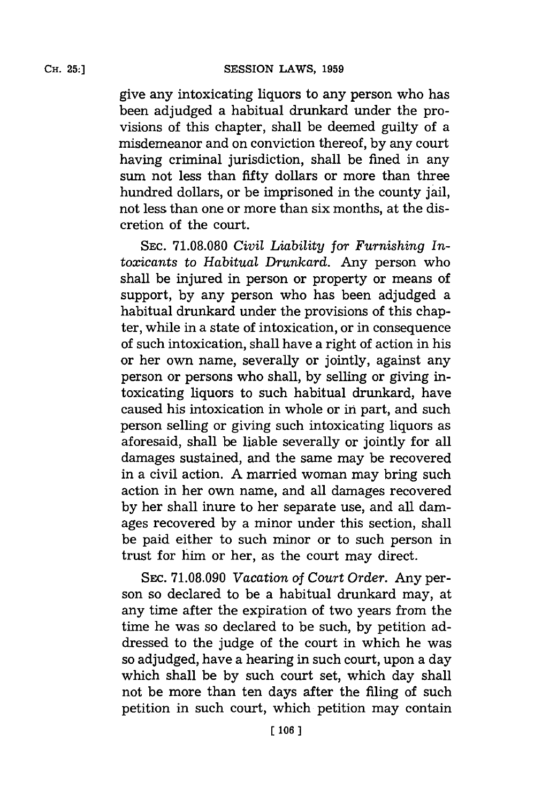give any intoxicating liquors to any person who has been adjudged a habitual drunkard under the provisions of this chapter, shall be deemed guilty of a misdemeanor and on conviction thereof, **by** any court having criminal jurisdiction, shall be fined in any sum not less than fifty dollars or more than three hundred dollars, or be imprisoned in the county jail, not less than one or more than six months, at the discretion of the court.

**SEC. 71.08.080** *Civil Liability for Furnishing Intoxicants* to *Habitual Drunkard.* Any person who shall be injured in person or property or means of support, **by** any person who has been adjudged a habitual drunkard under the provisions of this chapter, while in a state of intoxication, or in consequence of such intoxication, shall have a right of action in his or her own name, severally or jointly, against any person or persons who shall, **by** selling or giving intoxicating liquors to such habitual drunkard, have caused his intoxication in whole or in part, and such person selling or giving such intoxicating liquors as aforesaid, shall be liable severally or jointly for all damages sustained, and the same may be recovered in a civil action. **A** married woman may bring such action in her own name, and all damages recovered **by** her shall inure to her separate use, and all damages recovered **by** a minor under this section, shall be paid either to such minor or to such person in trust for him or her, as the court may direct.

SEC. 71.08.090 Vacation of Court Order. Any person so declared to be a habitual drunkard may, at any time after the expiration of two years from the time he was so declared to be such, **by** petition addressed to the judge of the court in which he was so adjudged, have a hearing in such court, upon a day which shall be **by** such court set, which day shall not be more than ten days after the filing of such petition in such court, which petition may contain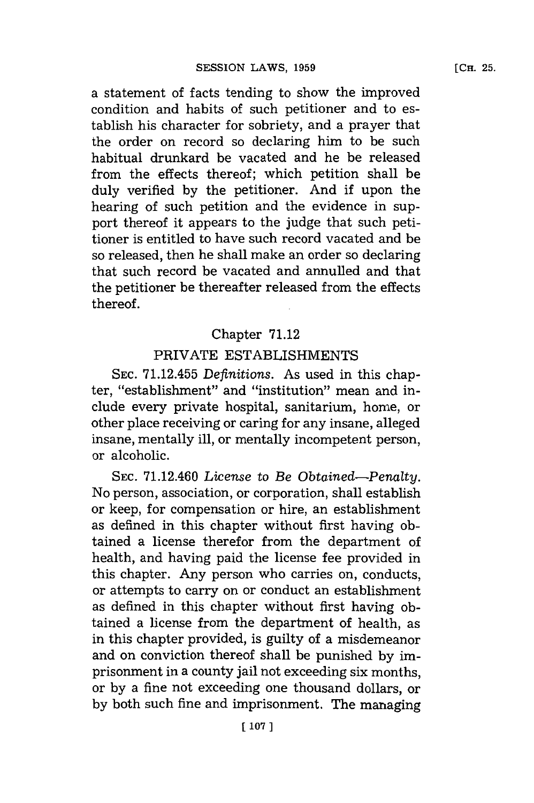a statement of facts tending to show the improved condition and habits of such petitioner and to establish his character for sobriety, and a prayer that the order on record so declaring him to be such habitual drunkard be vacated and he be released from the effects thereof; which petition shall be duly verified **by** the petitioner. And if upon the hearing of such petition and the evidence in support thereof it appears to the judge that such petitioner is entitled to have such record vacated and be so released, then he shall make an order so declaring that such record be vacated and annulled and that the petitioner be thereafter released from the effects thereof.

### Chapter **71.12**

# PRIVATE ESTABLISHMENTS

**SEC. 71.12.455** *Definitions.* As used in this chapter, "establishment" and "institution" mean and include every private hospital, sanitarium, home, or other place receiving or caring for any insane, alleged insane, mentally ill, or mentally incompetent person, or alcoholic.

**SEC.** 71.12.460 *License* to *Be Obtained-Penalty.* No person, association, or corporation, shall establish or keep, for compensation or hire, an establishment as defined in this chapter without first having obtained a license therefor from the department of health, and having paid the license fee provided in this chapter. Any person who carries on, conducts, or attempts to carry on or conduct an establishment as defined in this chapter without first having obtained a license from the department of health, as in this chapter provided, is guilty of a misdemeanor and on conviction thereof shall be punished **by** imprisonment in a county jail not exceeding six months, or **by** a fine not exceeding one thousand dollars, or by both such fine and imprisonment. The managing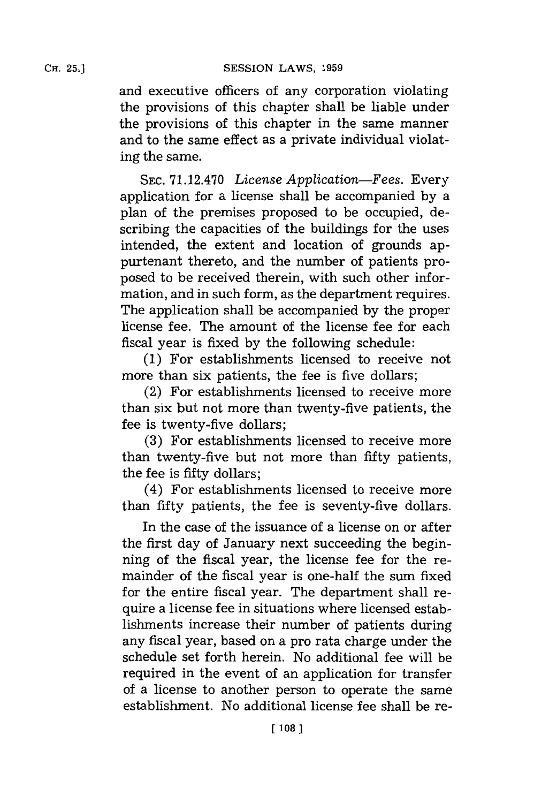and executive officers of any corporation violating the provisions of this chapter shall be liable under the provisions of this chapter in the same manner and to the same effect as a private individual violating the same.

**SEC. 71.12.470** *License Application-Fees.* Every application for a license shall be accompanied **by** a plan of the premises proposed to be occupied, describing the capacities of the buildings for the uses intended, the extent and location of grounds appurtenant thereto, and the number of patients proposed to be received therein, with such other information, and in such form, as the department requires. The application shall be accompanied **by** the proper license fee. The amount of the license fee for each fiscal year is fixed **by** the following schedule:

**(1)** For establishments licensed to receive not more than six patients, the fee is five dollars;

(2) For establishments licensed to receive more than six but not more than twenty-five patients, the fee is twenty-five dollars;

**(3)** For establishments licensed to receive more than twenty-five but not more than fifty patients, the fee is fifty dollars;

(4) For establishments licensed to receive more than fifty patients, the fee is seventy-five dollars.

In the case of the issuance of a license on or after the first day of January next succeeding the beginning of the fiscal year, the license fee for the remainder of the fiscal year is one-half the sum fixed for the entire fiscal year. The department shall require a license fee in situations where licensed establishments increase their number of patients during any fiscal year, based on a pro rata charge under the schedule set forth herein. No additional fee will be required in the event of an application for transfer of a license to another person to operate the same establishment. No additional license fee shall be re-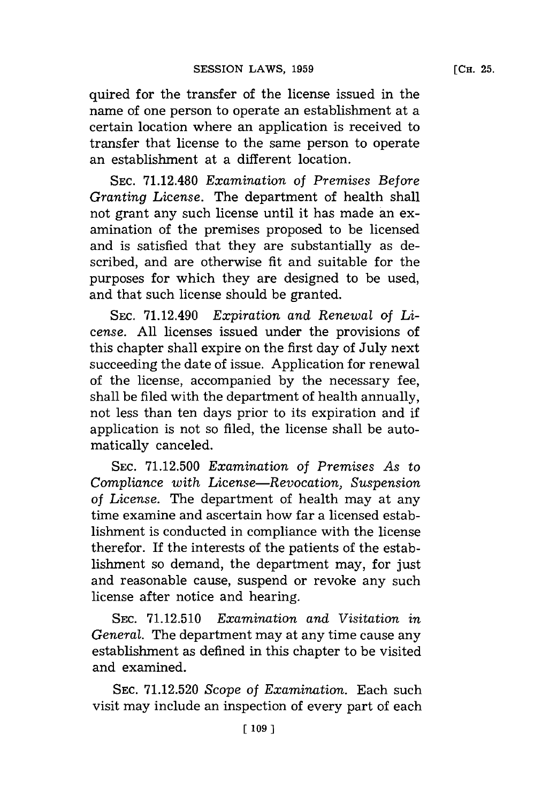quired for the transfer of the license issued in the name of one person to operate an establishment at a certain location where an application is received to transfer that license to the same person to operate an establishment at a different location.

**SEC. 71.12.480** *Examination of Premises Before Granting License.* The department of health shall not grant any such license until it has made an examination of the premises proposed to be licensed and is satisfied that they are substantially as described, and are otherwise fit and suitable for the purposes for which they are designed to be used, and that such license should be granted.

**SEC.** 71.12.490 *Expiration and Renewal of License.* **All** licenses issued under the provisions of this chapter shall expire on the first day of July next succeeding the date of issue. Application for renewal of the license, accompanied **by** the necessary fee, shall be filed with the department of health annually, not less than ten days prior to its expiration and if application is not so filed, the license shall be automatically canceled.

**SEC. 71.12.500** *Examination of Premises As to Compliance with License-Revocation, Suspension of License.* The department of health may at any time examine and ascertain how far a licensed establishment is conducted in compliance with the license therefor. If the interests of the patients of the establishment so demand, the department may, for just and reasonable cause, suspend or revoke any such license after notice and hearing.

**SEC. 71.12.510** *Examination and Visitation in General.* The department may at any time cause any establishment as defined in this chapter to be visited and examined.

**SEC. 71.12.520** *Scope of Examination.* Each such visit may include an inspection of every part of each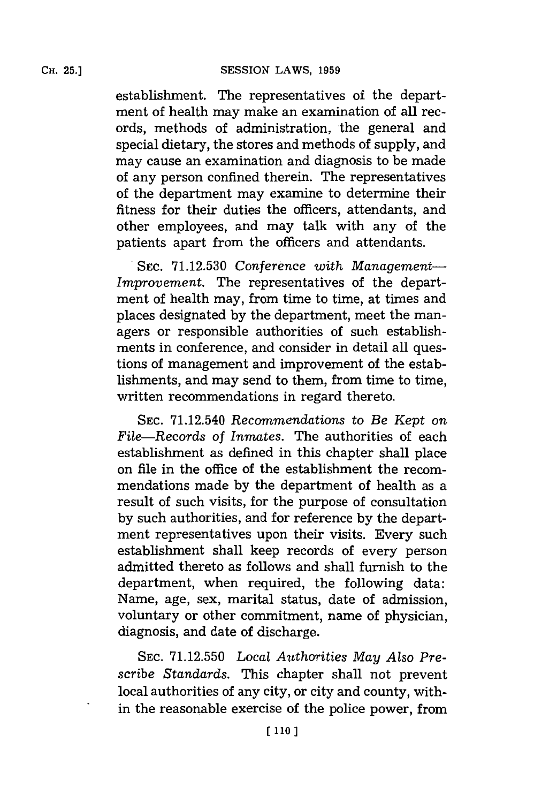establishment. The representatives of the department of health may make an examination of all records, methods of administration, the general and special dietary, the stores and methods of supply, and may cause an examination and diagnosis to be made of any person confined therein. The representatives of the department may examine to determine their fitness for their duties the officers, attendants, and other employees, and may talk with any of the patients apart from the officers and attendants.

**SEC. 71.12.530** *Conference with Management-Improvement.* The representatives of the department of health may, from time to time, at times and places designated **by** the department, meet the managers or responsible authorities of such establishments in conference, and consider in detail all questions of management and improvement of the establishments, and may send to them, from time to time, written recommendations in regard thereto.

**SEC.** 71.12.540 *Recommendations to Be Kept on File-Records of Inmates.* The authorities of each establishment as defined in this chapter shall place on file in the office of the establishment the recommendations made **by** the department of health as a result of such visits, for the purpose of consultation **by** such authorities, and for reference **by** the department representatives upon their visits. Every such establishment shall keep records of every person admitted thereto as follows and shall furnish to the department, when required, the following data: Name, age, sex, marital status, date of admission, voluntary or other commitment, name of physician, diagnosis, and date of discharge.

**SEC. 71.12.550** *Local Authorities May Also Prescribe Standards.* This chapter shall not prevent local authorities of any city, or city and county, within the reasonable exercise of the police power, from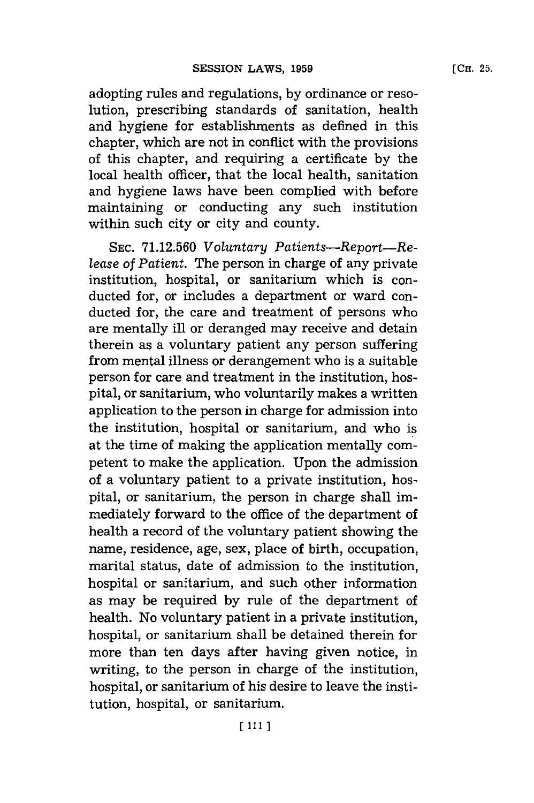adopting rules and regulations, **by** ordinance or resolution, prescribing standards of sanitation, health and hygiene for establishments as defined in this chapter, which are not in conflict with the provisions of this chapter, and requiring a certificate **by** the local health officer, that the local health, sanitation and hygiene laws have been complied with before maintaining or conducting any such institution within such city or city and county.

**SEC. 71.12.560** *Voluntary Patients-Report-Release of Patient.* The person in charge of any private institution, hospital, or sanitarium which is conducted for, or includes a department or ward conducted for, the care and treatment of persons who are mentally ill or deranged may receive and detain therein as a voluntary patient any person suffering from mental illness or derangement who is a suitable person for care and treatment in the institution, hospital, or sanitarium, who voluntarily makes a written application to the person in charge for admission into the institution, hospital or sanitarium, and who is at the time of making the application mentally competent to make the application. Upon the admission of a voluntary patient to a private institution, hospital, or sanitarium, the person in charge shall immediately forward to the office of the department of health a record of the voluntary patient showing the name, residence, age, sex, place of birth, occupation, marital status, date of admission to the institution, hospital or sanitarium, and such other information as may be required **by** rule of the department of health. No voluntary patient in a private institution, hospital, or sanitarium shall be detained therein for more than ten days after having given notice, in writing, to the person in charge of the institution, hospital, or sanitarium of his desire to leave the institution, hospital, or sanitarium.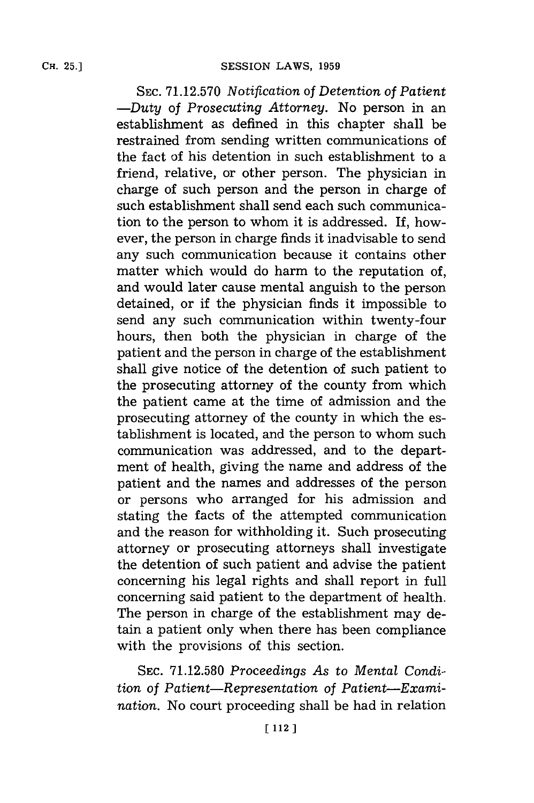**SEC. 71.12.570** *Notification of Detention of Patient -Duty of Prosecuting Attorney.* No person in an establishment as defined in this chapter shall be restrained from sending written communications of the fact of his detention in such establishment to a friend, relative, or other person. The physician in charge of such person and the person in charge of such establishment shall send each such communication to the person to whom it is addressed. If, however, the person in charge finds it inadvisable to send any such communication because it contains other matter which would do harm to the reputation of, and would later cause mental anguish to the person detained, or if the physician finds it impossible to send any such communication within twenty-four hours, then both the physician in charge of the patient and the person in charge of the establishment shall give notice of the detention of such patient to the prosecuting attorney of the county from which the patient came at the time of admission and the prosecuting attorney of the county in which the establishment is located, and the person to whom such communication was addressed, and to the department of health, giving the name and address of the patient and the names and addresses of the person or persons who arranged for his admission and stating the facts of the attempted communication and the reason for withholding it. Such prosecuting attorney or prosecuting attorneys shall investigate the detention of such patient and advise the patient concerning his legal rights and shall report in full concerning said patient to the department of health. The person in charge of the establishment may detain a patient only when there has been compliance with the provisions of this section.

**SEC. 71.12.580** *Proceedings As to Mental Condition of Patient-Representation of Patient-Examination.* No court proceeding shall be had in relation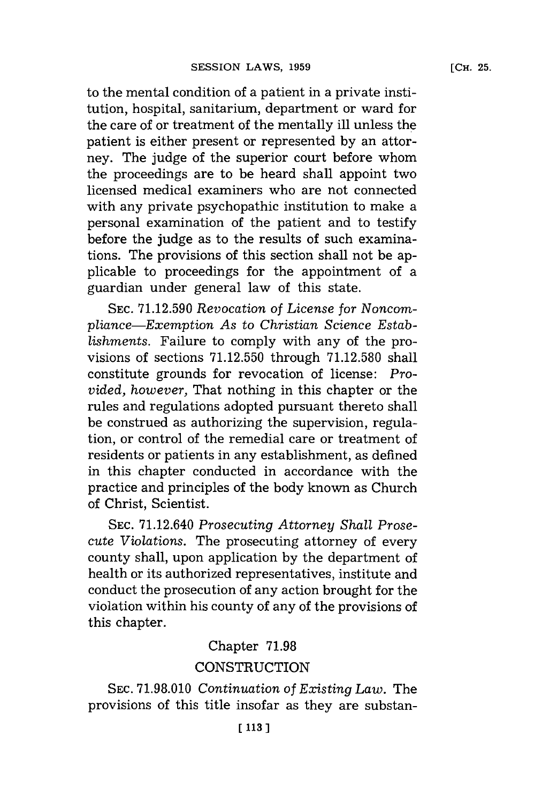to the mental condition of a patient in a private institution, hospital, sanitarium, department or ward for the care of or treatment of the mentally ill unless the patient is either present or represented **by** an attorney. The judge of the superior court before whom the proceedings are to be heard shall appoint two licensed medical examiners who are not connected with any private psychopathic institution to make a personal examination of the patient and to testify before the judge as to the results of such examinations. The provisions of this section shall not be applicable to proceedings for the appointment of a guardian under general law of this state.

**SEC. 71.12.590** *Revocation of License for Noncompliance-Exemption As* to *Christian Science Establishments.* Failure to comply with any of the provisions of sections **71.12.550** through **71.12.580** shall constitute grounds for revocation of license: *Provided, however, That nothing in this chapter or the* rules and regulations adopted pursuant thereto shall be construed as authorizing the supervision, regulation, or control of the remedial care or treatment of residents or patients in any establishment, as defined in this chapter conducted in accordance with the practice and principles of the body known as Church of Christ, Scientist.

**SEC.** 71.12.640 *Prosecuting Attorney Shall Prosecute Violations.* The prosecuting attorney of every county shall, upon application **by** the department of health or its authorized representatives, institute and conduct the prosecution of any action brought for the violation within his county of any of the provisions of this chapter.

# Chapter **71.98**

# **CONSTRUCTION**

**SEC. 71.98.010** *Continuation of Existing Law.* The provisions of this title insofar as they are substan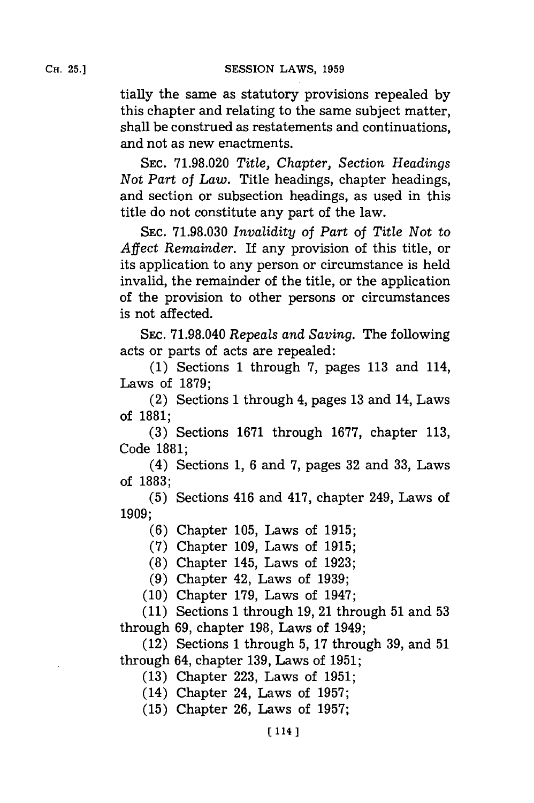tially the same as statutory provisions repealed **by** this chapter and relating to the same subject matter, shall be construed as restatements and continuations, and not as new enactments.

**SEC. 71.98.020** *Title, Chapter,* Section *Headings Not Part of Law.* Title headings, chapter headings, and section or subsection headings, as used in this title do not constitute any part of the law.

**SEC. 71.98.030** *Invalidity of Part of Title Not to Affect Remainder.* If any provision of this title, or its application to any person or circumstance is held invalid, the remainder of the title, or the application of the provision to other persons or circumstances is not affected.

**SEC. 71.98.040** *Repeals and Saving.* The following acts or parts of acts are repealed:

**(1)** Sections **1** through **7,** pages **113** and 114, Laws of **1879;**

(2) Sections **1** through 4, pages **13** and 14, Laws of **1881;**

**(3)** Sections **1671** through **1677,** chapter **113,** Code **1881;**

(4) Sections **1, 6** and **7,** pages **32** and **33,** Laws of **1883;**

**(5)** Sections 416 and 417, chapter 249, Laws of **1909;**

**(6)** Chapter **105,** Laws of **1915;**

**(7)** Chapter **109,** Laws of **1915;**

**(8)** Chapter 145, Laws of **1923;**

**(9)** Chapter 42, Laws of **1939;**

**(10)** Chapter **179,** Laws of 1947;

**(11)** Sections **1** through **19,** 21 through **51** and **53** through **69,** chapter **198,** Laws of 1949;

(12) Sections **1** through **5, 17** through **39,** and **51** through 64, chapter **139,** Laws of **1951;**

**(13)** Chapter **223,** Laws of **1951;**

(14) Chapter 24, Laws of **1957;**

**(15)** Chapter **26,** Laws of **1957;**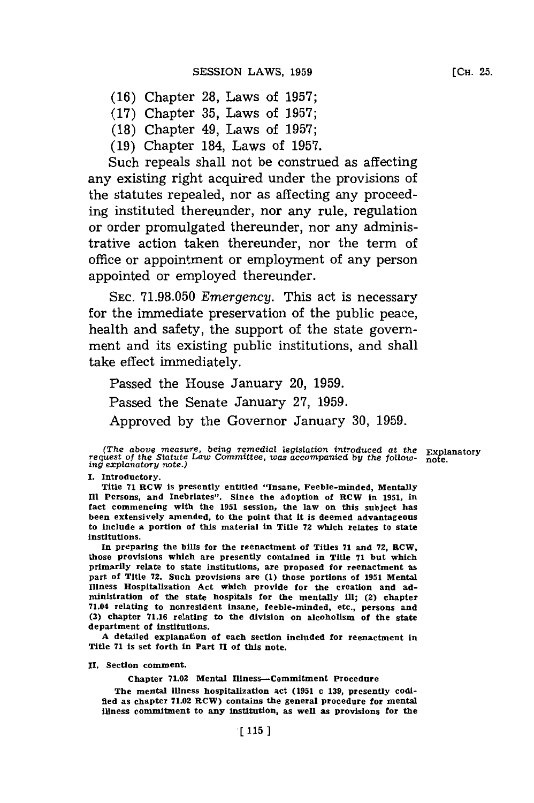- **(16)** Chapter **28,** Laws of **1957;**
- **(17)** Chapter **35,** Laws of **1957;**
- **(18)** Chapter 49, Laws of **1957;**
- **(19)** Chapter 184, Laws of **1957.**

Such repeals shall not be construed as affecting any existing right acquired under the provisions of the statutes repealed, nor as affecting any proceeding instituted thereunder, nor any rule, regulation or order promulgated thereunder, nor any administrative action taken thereunder, nor the term of office or appointment or employment of any person appointed or employed thereunder.

**SEC. 71.98.050** *Emergency.* This act is necessary for the immediate preservation of the public peace, health and safety, the support of the state government and its existing public institutions, and shall take effect immediately.

Passed the House January 20, **1959.** Passed the Senate January **27, 1959.** Approved **by** the Governor January **30, 1959.**

**1.** Introductory.

Title **71** RCW Is presently entitled "Insane, Feeble-minded, Mentally **Ill** Persons, and Inebriates". Since the adoption of RCW in **1951,** in fact commencing with the **1951** session, the law on this subject has been extensively amended, to the point that it is deemed advantageous to include a portion of this material in Title **72** which relates to state institutions.

In preparing the bills for the reenactment of Titles **71** and **72,** RCW, those provisions which are presently contained in Title **71** but which primarily relate to state institutions, are proposed for reenactment as part of Title **72.** Such provisions are **(1)** those portions of **1951** Mental Illness Hospitalization Act which provide for the creation and administration of the state hospitals for the mentally ill; (2) chapter 71.04 relating to nonresident Insane, feeble-minded, etc., persons and **(3)** chapter **71.16** relating to the division on alcoholisnm of the state department of institutions.

**A** detailed explanation of each section included for reenactment in Title **71** is set forth in Part **11** of this note.

**11.** Section comment.

Chapter **71.02** Mental Illness-Commitment Procedure

The mental Illness hospitalization act **(1951** c **139,** presently codified as chapter **71.02** RCW) contains the general procedure for mental illness commitment to any institution, as well as provisions for the

<sup>(</sup>The *above measure, being remedial legislation introduced at the Explanatory request of the Statute Law Committee, was accompanied by the follow- note.)<br><i>ing explanatory note.*)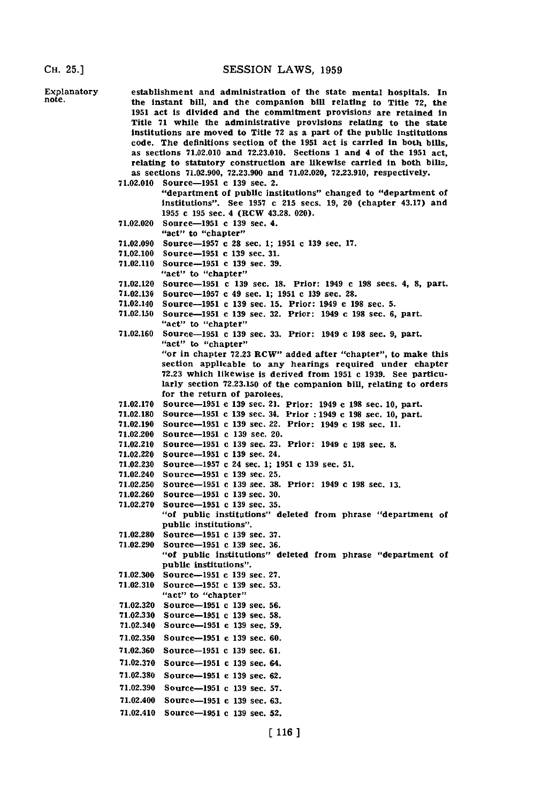Explanatory establishment and administration of the state mental hospitals. In note.<br>note, the instant hill and the companien hill relating to mitle 72 the note, the instant bill, and the companion bill relating to Title **72,** the **1951** act Is divided and the commitment provisions are retained in Title **71** while the administrative provisions relating to the state Institutions are moved to Title **72** as a. part of the public institutions code. The definitions section of the **1951** act is carried In both bills, as sections **71.02.010** and **72.23.010.** Sections 1 and 4 of the **1951** act, relating to statutory construction are likewise carried in both bills, as sections **71.02.900, 72.23.900** and **71.02.020, 72.23.910,** respectively. **71.02.010** Source-1951 c **139** sec. 2. "department of public institutions" changed to "department of institutions". See **1957** c **215** secs. **19,** 20 (chapter 43.17) and **1955** c **195** sec. 4 (RCW 43.28. 020). **71.02.020** Source-1951 c **139** sec. 4. "act" to "chapter" **71.02.090** Source-1957 **c 28** sec. **1; 1951** c **139** sec. **17. 71.02.100** Source-1951 c **139** sec. **31. 71.02.110** Source-1951 **c 139** sec. **39.** "act" to "chapter" **71.02.120** Source-1951 c **139** sec. **18.** Prior: 1949 c **198** secs. 4, **8,** part. **71.02.130** Source-1957 **c** 49 sec. **1; 1951 c 139** sec. **28.** 71.02.140 Source-1951 c **139** sec. **15.** Prior: 1949 **e 198** sec. **5. 71.02.150** Source-1951 **c 139** sec. **32.** Prior: 1949 **c 198** sec. **6,** part. "act" to "chapter" **71.02.160** Source-1951 c **139** sec. **33.** Prior: 1949 c **198** sec. **9,** part. "act" to "chapter" "or in chapter 72.23 RCW" added after "chapter", to make this section applicable to any hearings required under chapter **72.23** which likewise is derived from **1951** c **1939.** See particularly section **72.23.150** of the companion bill, relating to orders for the return of parolees. **71.02.170** Source-1951 c **139** sec. 21. Prior: 1949 c **198** sec. **10,** part. **71.02.180** Source-1951 **c 139** sec. 34. Prior **:** 1949 **c 198** sec. **10,** part. **71.02.190** Source-i95i c **139** sec. 22. Prior: 1949 c **198** sec. **11.** 71.02.200 Source-1951 c 139 sec. 20.<br>71.02.210 Source-1951 c 139 sec. 23. **71.02.210** Source-1951 **c 139** sec. **23.** Prior: 1949 c **198** sec. **8. 71.02.220** Source-1951 c **139** sec. 24. **71.02.230** Source-1957 c 24 sec. **1; 1951 c 139** sec. **51.** 71.02.240 Source-1951 c **139** sec. **25. 71.02.250** Source-1951 **c 139** sec. **38.** Prior: 1949 c **198** sec. **13.** 71.02.260 **Source-1951 c 139 sec. 30.**<br>71.02.270 **Source-1951 c 139 sec. 35. 71.02.270** Source-i95i **c 139** sec. **35.** "of public institutions" deleted from phrase "department of public institutions". **71.02.280** Source-1951 c **139** sec. **37. 71.02.290** Source-O5i c **139** sec. **36.** "of public institutions" deleted from phrase "department of public institutions". **71.02.300** Source-1951 c **139** sec. **27. 71.02.310** Source-1951 c **139** sec. **53.** "act" to "chapter" **71.02.320** Source-1951 c **139** sec. **56. 71.02.330** Source-i95i c **139** sec. **58.** 71.02.340 Source-1951 c **139** sec. **59. 71.02.350** Source-1951 c **139** sec. **60. 71.02.360** Source-1951 c **139** sec. **61. 71.02.370** Source-1951 **c 139** sec. 64. **71.02.380** Source-1951 c **139** sec. **62. 71.02.390** Source-1951 c **139** sec. **57.** 7 1.02.400 Source-1951 c **139** sec. **63.** 71.02.410 Source-1951 c **139** sec. **52.**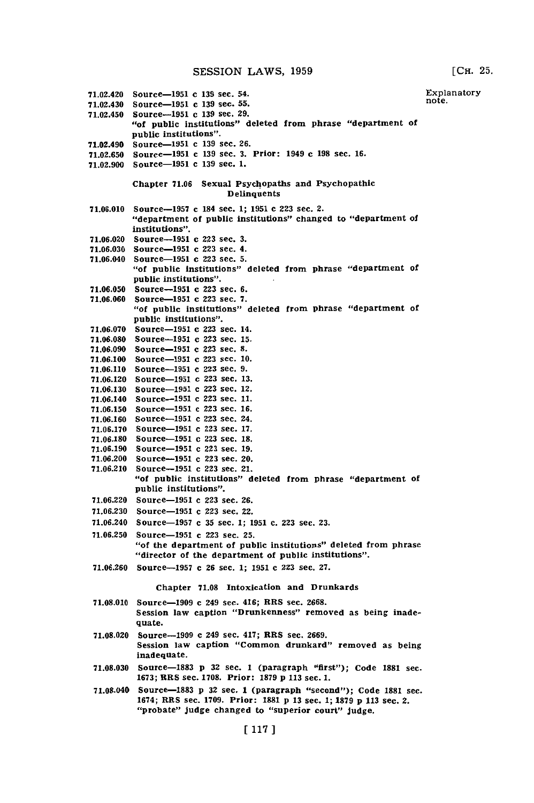**SESSION** LAWS, **1959**

**[CH. 25.** Explanatory

71.02.420 Source-1951 c 139 sec. 54. 71.02.430 Source-1951 **e 139** sec. **55.** 71.02.450 Source-is5i c **139** sec. **29.** "of public institutions" deleted from phrase "department of public institutions". 71.02.490 Source-1951 c **139** sec. **26. 71.02.650** Source-O5i c **139** sec. **3.** Prior: 1949 **c 198** sec. **16. 71.02.900** Source-1951 c **139** sec. **1.** Chapter **71.06** Sexual Psychopaths and Psychopathic **Delinquents 71.06.010** Source-1957 c 184 sec. **1; 1951** c **223** sec. 2. "department of public institutions" changed to "department of institutions". **71.06.020** Source-i95i c **223** sec. **3. 71.06.030** Source-1951 c **223** sec. 4. 71.06.040 Source-1951 **c 223** sec. **5.** "of public institutions" deleted from phrase "department of public institutions". **71.06.050** Source-1951 c **223** sec. **6. 71.06.060** Source-1951 **c 223** sec. **7.** "of public institutions" deleted from phrase "department of public institutions". **71.06.070** Source-1951 c **223** sec. 14. **71.06.080** Source-1951 **c 223** sec. **15. 71.06.090** Source-1951 c **223** sec. **8. 71.06.100** Source-1951 **c 223** sec. **10. 71.06.110** Source-1951 c **223** sec. **9. 71.06.120** Source-1951 c **223** sec. **13. 71.06.130** Source-1951 c **223** sec. 12. 71.06.140 Source-i95i c **223** sec. **11. 71.06.150** Source-1951 c **223** sec. **16. 71.06.160** Source-1951 c **223** sec. 24. **71.06.170** Source-1951 **c 223** sec. **17. 71.06.180** Source-i95i **c 223** sec. **18. 71.06.190** Source-1951 **c 223** sec. **19. 7.06.200** Source-95l c **223** sec. 20. **71.06.210** Source-1951 **c 223** sec. 21. "of public institutions" deleted from phrase "department of public institutions". **71.06.220** Source-1951 **c 223** sec. **26. 71.06.230** Source-1951 c **223** sec. 22. note. 71.06.240 Source-1957 **c 35** sec. **1; 1951** c. **223** sec. **23. 71.06.250** Source-1951 **c 223** sec. **25.** "of the department of public institutions" deleted from phrase "director of the department of public institutions". **71.06.260** Source-1957 c **26** sec. **1; 1951 c 223** sec. **27.** Chapter **71.08** Intoxication and Drunkards **71.08.010** Source-1909 **c** 249 sec. 416; RRS sec. **2668.** Session law caption "Drunkenness" removed as being inadequate. **71.08.020** Source-1909 **c** 249 sec. 417; MRS sec. **2669.** Session law caption "Common drunkard" removed as being inadequate. **71.08.030** Source-1883 **p 32** sec. 1 (paragraph "first"); Code **1881** sec. **1673;** MRS sec. **1708.** Prior: **1879 p 113** sec. **1.** 71.08.040 Source-1883 **p 32** sec. 1 (paragraph "second"); Code **1881** sec. 1674; MRS sec. **1709.** Prior: **3881 p 13** sec. **1; 1879 p 113** sec. 2. "probate" judge changed to "superior court" judge.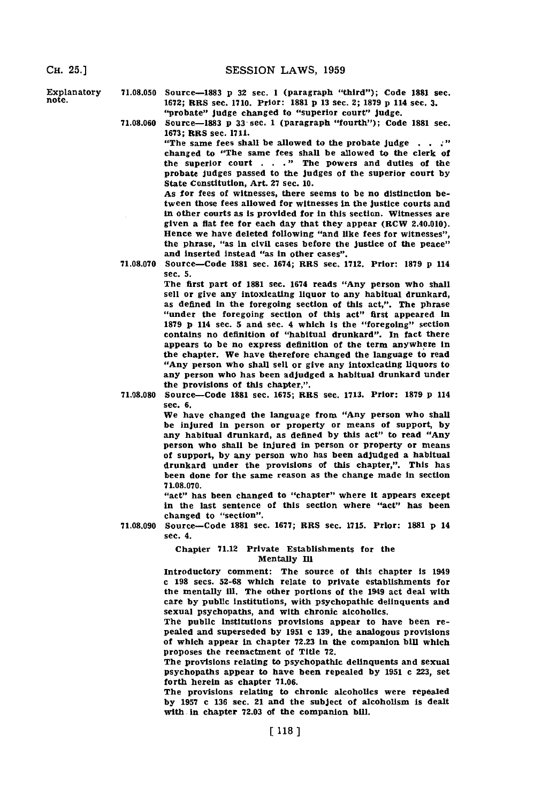**CE. 25.] SESSION** LAWS, **1959**

**Explanatory 71.08.050 Source-1883 <b>p** 32 sec. 1 (paragraph "third"); Code 1881 sec. note.<br>note. 1872: **PBS** sec. 1710 **Prior: 1881 p** 13 sec. 3: 1979 p. 114 code. 3 note. **1672;** BBS sec. **1710.** Prior: **1881 p 13** sec. **2; 1879 p** 114 sec. **3.** "probate" judge changed to "superior court" judge.

> **71.08.060** Source-1883 **p 33** sec. **1** (paragraph "fourth"); Code **1881** sec. **1673;** BBS sec. **1711.**

"The same fees shall be allowed to the probate judge  $\ldots$ ." changed to "The same fees shall be allowed to the clerk of the superior court **. . ."1** The powers and duties of the probate judges passed to the judges of the superior court **by** State Constitution, Art. **27** sec. **10.**

As for fees of witnesses, there seems to be no distinction between those fees allowed for witnesses in the justice courts and in other courts as Is provided for in this section. Witnesses are given a flat fee for each day that they appear (BCW 2.40.010). Hence we have deleted following "and like fees for witnesses", the phrase, "as in civil cases before the justice of the peace" and inserted instead "as In other cases".

**71.08.070** Source-Code **1881** sec. 1674; BBS sec. **1712.** Prior: **1879 p** <sup>114</sup> sec. **5.**

> The first part of **1881** sec. 1674 reads "Any person who shall sell or give any intoxicating liquor to any habitual drunkard, as defined in the foregoing section of this act,". The phrase "under the foregoing section of this act" first appeared in **1879 p** 114 sec. **5** and sec. 4 which Is the "foregoing" section contains no definition of "habitual drunkard". In fact there appears to be no express definition of the term anywhere in the chapter. We have therefore changed the language to read "Any person who shall sell or give any intoxicating liquors to any person who has been adjudged a habitual drunkard under the provisions of this chapter,".

**71.08.080** Source-Code **1881** sec. **1675;** BBS sec. **1713.** Prior: **1879 p** <sup>114</sup> sec. **6.**

> We have changed the language from "Any person who shall be injured in person or property or means of support, **by** any habitual drunkard, as defined **by** this act" to read "Any person who shall be injured in person or property or means of support, **by** any person who has been adjudged a habitual drunkard under the provisions of this chapter,". This has been done for the same reason as the change made in section **71.08.070.**

> "act" has been changed to "chapter" where it appears except in the last sentence of this section where "act" has been changed to "section".

**71.08.090** Source-Code **1881** sec. **1677;** BBS sec. **1715.** Prior: **1881 p** <sup>14</sup>

sec. 4.

#### Chapter **71.12** Private Establishments for the Mentally **Ill**

Introductory comment: The source of this chapter is 1949 **c** 198 secs. 52-68 which relate to private establishments for the mentally ill. The other portions of the 1949 act deal with care **by** publlc institutions, with psychopathic delinquents and sexual psychopaths, and with chronic alcoholics.

The public institutions provisions appear to have been repealed and superseded **by 1951** c **139,** the analogous provisions of which appear in chapter **72.23** in the companion bill which proposes the reenactment **of** Titie **72.**

The provisions relating to psychopathic delinquents and sexual psychopaths appear to have been repealed **by 1951 c 223,** set forth herein as chapter **71.06.**

The provisions relating to chronic alcoholics were repealed **by 1957** c **136** sec. 21 and the subject of alcoholism is dealt with in chapter **72.03** of the companion bill.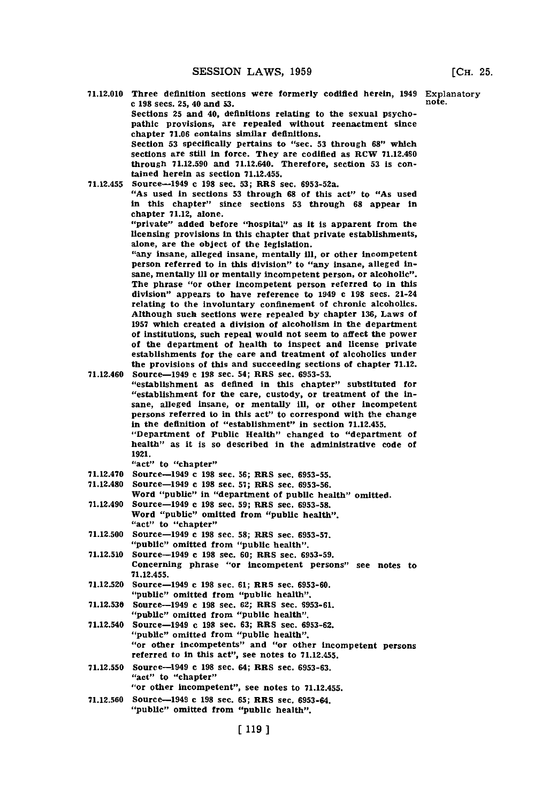**71.12.010** Three definition sections were formerly codified herein, 1949 Explanatory **c** 198 secs. 25, 40 and 53.

Sections **25** and 40, definitions relating to the sexual psychopathic provisions, are repealed without reenactment since chapter **71.06** contains similar definitions.

Section **53** specifically pertains to "sec. **53** through **68"1** which sections are still in force. They are codified as RCW 71.12.460 through **71.12.590** and 71.12.640. Therefore, section **53** is contained herein as section **71.12.455.**

**71.12.455** Source-1949 c **198** sec. **53;** RRS sec. 6953-52a. "As used In sections **53** through **68** of this act" to "As used In this chapter" since sections **53** through **68** appear in chapter **71.12,** alone.

"private" added before "hospital" as it is apparent from the licensing provisions in this chapter that private establishments, alone, are the object of the legislation.

"any insane, alleged insane, mentally ill, or other incompetent person referred to in this division" to "any insane, alleged insane, mentally Ill or mentally incompetent person, or alcoholic". The phrase "or other incompetent person referred to in this division" appears to have reference to 1949 c **198** secs. 21-24 relating to the involuntary confinement of chronic alcoholics. Although such sections were repealed **by** chapter **136,** Laws of **<sup>1957</sup>**which created a division of alcoholism in the department of institutions, such repeal would not seem to affect the power of the department of health to inspect and license private establishments for the care and treatment of alcoholics under the provisions of this and succeeding sections of chapter **71.12.**

71.12.460 Source-1949 c **198** sec. 54; RRS sec. **6953-53.**

- "establishment as defined in this chapter" substituted for "establishment for the care, custody, or treatment of the insane, alleged insane, or mentally Ill, or other incompetent persons referred to in this act" to correspond with the change in the definition of "establishment" in section **71.12.455.** "Department of Public Health" changed to "department of health" as it is so described in the administrative code of **1921.**
	- "act" to "chapter"
- **7 1.12.470** Source-1949 c **198** sec. **56;** RES sec. **6953-55.**
- **71.12.480** Source-1949 c **198** sec. **57;** RRS sec. **6953-56.**
- Word "public" in "department of public health" omitted. 71.12.490 Source-1949 c **198** sec. **59;** RRS sec. **6953-58.**
- Word "public" omitted from "public health". "act" to "chapter"
- **71.12.500** Source-1949 **c 198** sec. **58;** RRS sec. **6953-57.** "public" omitted from "public health".
- **71.12.510** Source-1949 c **198** sec. **60;** RRS sec. **6953-59.** Concerning phrase "or incompetent persons" see notes to **71.12.455.**
- **71.12.520** Source-1949 c **198** sec. **61;** RRlS sec. **6953-60.** "public" omitted from "public health".
- **71.12.530** Source-1949 c **198** sec. **62;** RRS sec. **6953-61.** "public" omitted from "public health".
- 71.12.540 Source-1949 c **198** sec. **63;** RRS sec. **6953-62.** "public" omitted from "public health". "or other incompetents" and "or other incompetent persons referred to in this act", see notes to **71.12.455.**
- **71.12.550** Source-1949 c **198** sec. 64; RRS sec. **6953-63.** "act" to "chapter"
	- "or other incompetent", see notes to **71.12.455.**
- **71.12.560** Source-1949 c **198** sec. **65;** RRS sec. **6953-64.** "public" omitted from "public health".